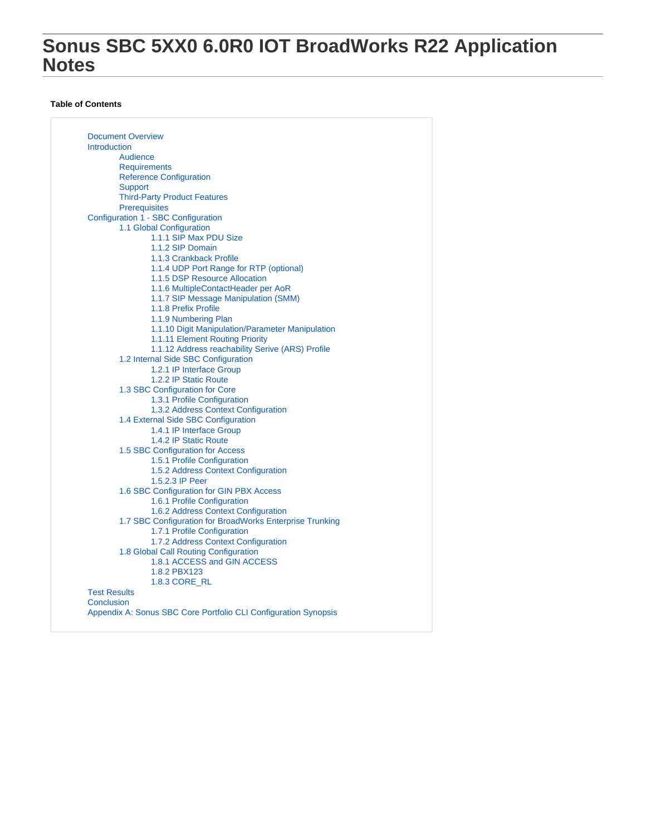# **Sonus SBC 5XX0 6.0R0 IOT BroadWorks R22 Application Notes**

#### **Table of Contents**

[Document Overview](#page-1-0) [Introduction](#page-1-1) [Audience](#page-1-2) **[Requirements](#page-1-3)** [Reference Configuration](#page-2-0) **[Support](#page-2-1)** [Third-Party Product Features](#page-2-2) [Prerequisites](#page-3-0) [Configuration 1 - SBC Configuration](#page-3-1) [1.1 Global Configuration](#page-3-2) [1.1.1 SIP Max PDU Size](#page-3-3) [1.1.2 SIP Domain](#page-3-4) [1.1.3 Crankback Profile](#page-3-5) [1.1.4 UDP Port Range for RTP \(optional\)](#page-3-6) [1.1.5 DSP Resource Allocation](#page-3-7) [1.1.6 MultipleContactHeader per AoR](#page-3-8) [1.1.7 SIP Message Manipulation \(SMM\)](#page-4-0) [1.1.8 Prefix Profile](#page-5-0) [1.1.9 Numbering Plan](#page-6-0) [1.1.10 Digit Manipulation/Parameter Manipulation](#page-6-1) [1.1.11 Element Routing Priority](#page-6-2) [1.1.12 Address reachability Serive \(ARS\) Profile](#page-7-0) [1.2 Internal Side SBC Configuration](#page-7-1) [1.2.1 IP Interface Group](#page-7-2) [1.2.2 IP Static Route](#page-7-3) [1.3 SBC Configuration for Core](#page-8-0) [1.3.1 Profile Configuration](#page-8-1) [1.3.2 Address Context Configuration](#page-10-0) [1.4 External Side SBC Configuration](#page-11-0) [1.4.1 IP Interface Group](#page-11-1) [1.4.2 IP Static Route](#page-11-2) [1.5 SBC Configuration for Access](#page-12-0) [1.5.1 Profile Configuration](#page-12-1) [1.5.2 Address Context Configuration](#page-13-0) [1.5.2.3 IP Peer](#page-13-1) [1.6 SBC Configuration for GIN PBX Access](#page-15-0) [1.6.1 Profile Configuration](#page-15-1) [1.6.2 Address Context Configuration](#page-16-0) [1.7 SBC Configuration for BroadWorks Enterprise Trunking](#page-17-0) [1.7.1 Profile Configuration](#page-17-1) [1.7.2 Address Context Configuration](#page-19-0) [1.8 Global Call Routing Configuration](#page-20-0) [1.8.1 ACCESS and GIN ACCESS](#page-20-1) [1.8.2 PBX123](#page-20-2) [1.8.3 CORE\\_RL](#page-20-3) [Test Results](#page-20-4) **[Conclusion](#page-21-0)** [Appendix A: Sonus SBC Core Portfolio CLI Configuration Synopsis](#page-21-1)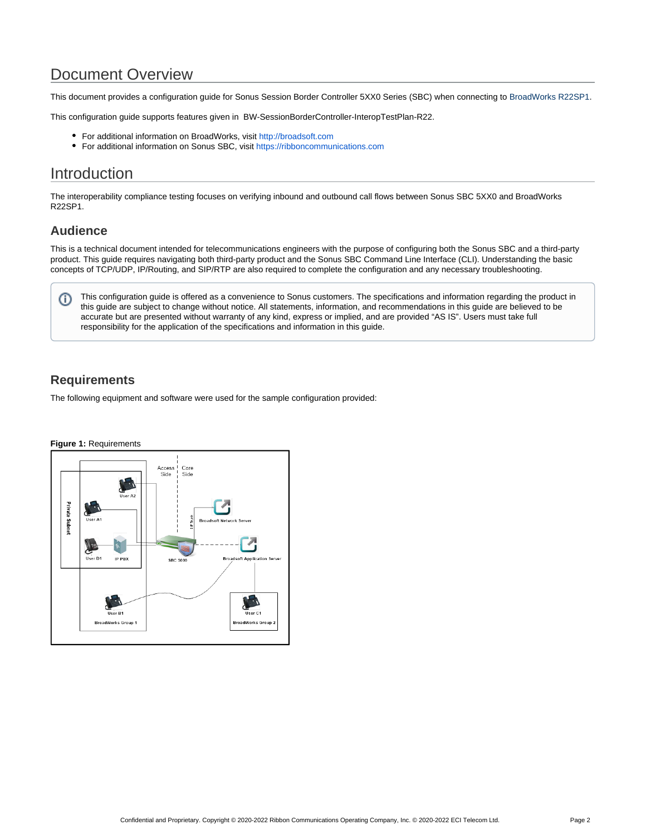# Document Overview

<span id="page-1-0"></span>This document provides a configuration guide for Sonus Session Border Controller 5XX0 Series (SBC) when connecting to BroadWorks R22SP1.

This configuration guide supports features given in BW-SessionBorderController-InteropTestPlan-R22.

- For additional information on BroadWorks, visit <http://broadsoft.com>
- For additional information on Sonus SBC, visit<https://ribboncommunications.com>

# <span id="page-1-1"></span>**Introduction**

The interoperability compliance testing focuses on verifying inbound and outbound call flows between Sonus SBC 5XX0 and BroadWorks R22SP1.

## **Audience**

<span id="page-1-2"></span>This is a technical document intended for telecommunications engineers with the purpose of configuring both the Sonus SBC and a third-party product. This guide requires navigating both third-party product and the Sonus SBC Command Line Interface (CLI). Understanding the basic concepts of TCP/UDP, IP/Routing, and SIP/RTP are also required to complete the configuration and any necessary troubleshooting.

This configuration guide is offered as a convenience to Sonus customers. The specifications and information regarding the product in O) this guide are subject to change without notice. All statements, information, and recommendations in this guide are believed to be accurate but are presented without warranty of any kind, express or implied, and are provided "AS IS". Users must take full responsibility for the application of the specifications and information in this guide.

## **Requirements**

<span id="page-1-3"></span>The following equipment and software were used for the sample configuration provided:

## **Figure 1:** RequirementsAccess<br>Side Core<br>Side Private Subnet User A **A** User D1 IP PBX **SBC 5000** coft Anglication .<br>If B1 —<br>User C' **BroadWorks Group BroadWorks Group**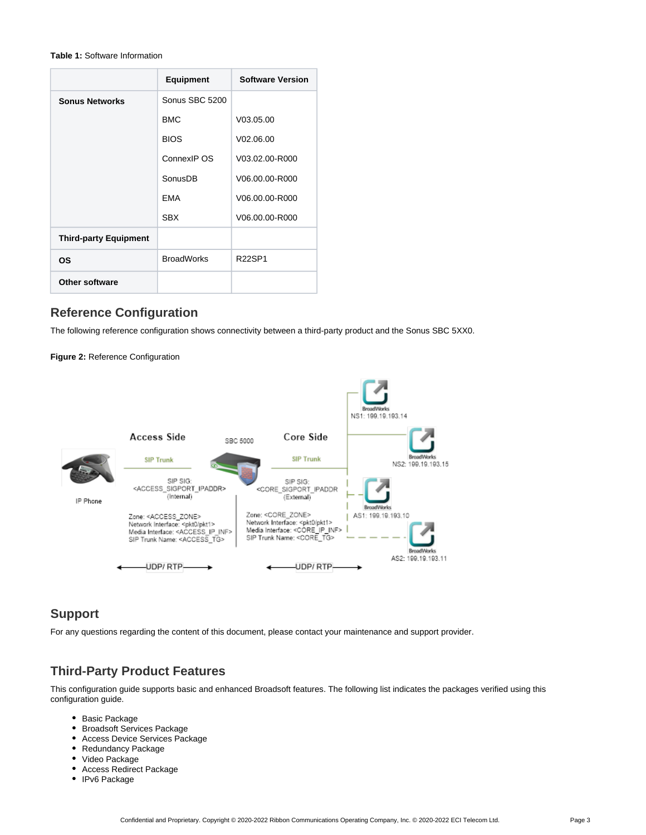#### **Table 1:** Software Information

|                              | <b>Equipment</b>  | <b>Software Version</b> |
|------------------------------|-------------------|-------------------------|
| <b>Sonus Networks</b>        | Sonus SBC 5200    |                         |
|                              | <b>BMC</b>        | V03.05.00               |
|                              | <b>BIOS</b>       | V <sub>02.06.00</sub>   |
|                              | ConnexIP OS       | V03.02.00-R000          |
|                              | SonusDB           | V06.00.00-R000          |
|                              | <b>EMA</b>        | V06.00.00-R000          |
|                              | <b>SBX</b>        | V06.00.00-R000          |
| <b>Third-party Equipment</b> |                   |                         |
| ΟS                           | <b>BroadWorks</b> | <b>R22SP1</b>           |
| Other software               |                   |                         |

## **Reference Configuration**

<span id="page-2-0"></span>The following reference configuration shows connectivity between a third-party product and the Sonus SBC 5XX0.

**Figure 2:** Reference Configuration



## **Support**

<span id="page-2-1"></span>For any questions regarding the content of this document, please contact your maintenance and support provider.

## **Third-Party Product Features**

<span id="page-2-2"></span>This configuration guide supports basic and enhanced Broadsoft features. The following list indicates the packages verified using this configuration guide.

- Basic Package
- Broadsoft Services Package
- Access Device Services Package
- Redundancy Package
- Video Package
- Access Redirect Package
- IPv6 Package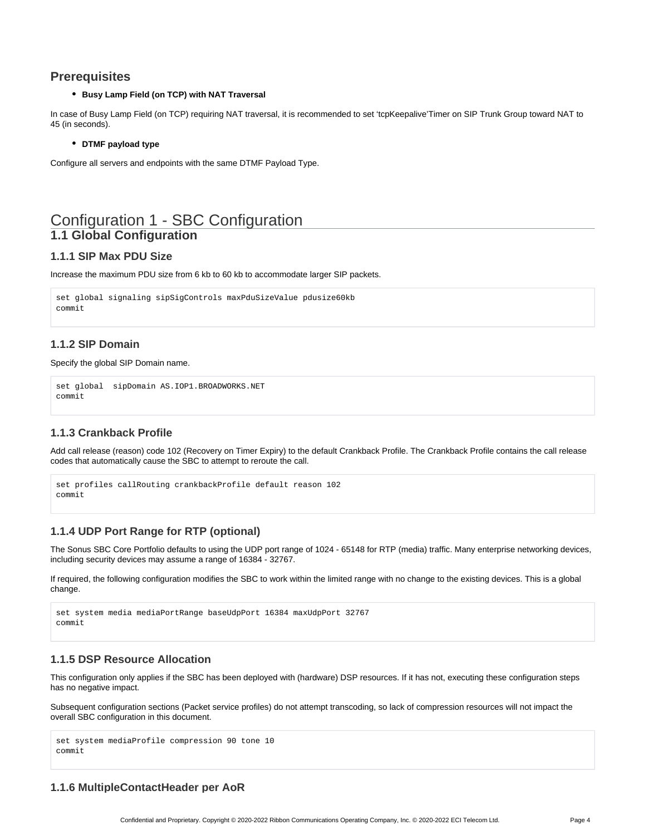## <span id="page-3-0"></span>**Prerequisites**

#### **Busy Lamp Field (on TCP) with NAT Traversal**

In case of Busy Lamp Field (on TCP) requiring NAT traversal, it is recommended to set 'tcpKeepalive'Timer on SIP Trunk Group toward NAT to 45 (in seconds).

#### **DTMF payload type**

Configure all servers and endpoints with the same DTMF Payload Type.

## <span id="page-3-1"></span>Configuration 1 - SBC Configuration **1.1 Global Configuration**

#### <span id="page-3-3"></span><span id="page-3-2"></span>**1.1.1 SIP Max PDU Size**

Increase the maximum PDU size from 6 kb to 60 kb to accommodate larger SIP packets.

```
set global signaling sipSigControls maxPduSizeValue pdusize60kb
commit
```
## <span id="page-3-4"></span>**1.1.2 SIP Domain**

#### Specify the global SIP Domain name.

set global sipDomain AS.IOP1.BROADWORKS.NET commit

### <span id="page-3-5"></span>**1.1.3 Crankback Profile**

Add call release (reason) code 102 (Recovery on Timer Expiry) to the default Crankback Profile. The Crankback Profile contains the call release codes that automatically cause the SBC to attempt to reroute the call.

```
set profiles callRouting crankbackProfile default reason 102
commit
```
### <span id="page-3-6"></span>**1.1.4 UDP Port Range for RTP (optional)**

The Sonus SBC Core Portfolio defaults to using the UDP port range of 1024 - 65148 for RTP (media) traffic. Many enterprise networking devices, including security devices may assume a range of 16384 - 32767.

If required, the following configuration modifies the SBC to work within the limited range with no change to the existing devices. This is a global change.

```
set system media mediaPortRange baseUdpPort 16384 maxUdpPort 32767
commit
```
### <span id="page-3-7"></span>**1.1.5 DSP Resource Allocation**

This configuration only applies if the SBC has been deployed with (hardware) DSP resources. If it has not, executing these configuration steps has no negative impact.

Subsequent configuration sections (Packet service profiles) do not attempt transcoding, so lack of compression resources will not impact the overall SBC configuration in this document.

```
set system mediaProfile compression 90 tone 10
commit
```
### <span id="page-3-8"></span>**1.1.6 MultipleContactHeader per AoR**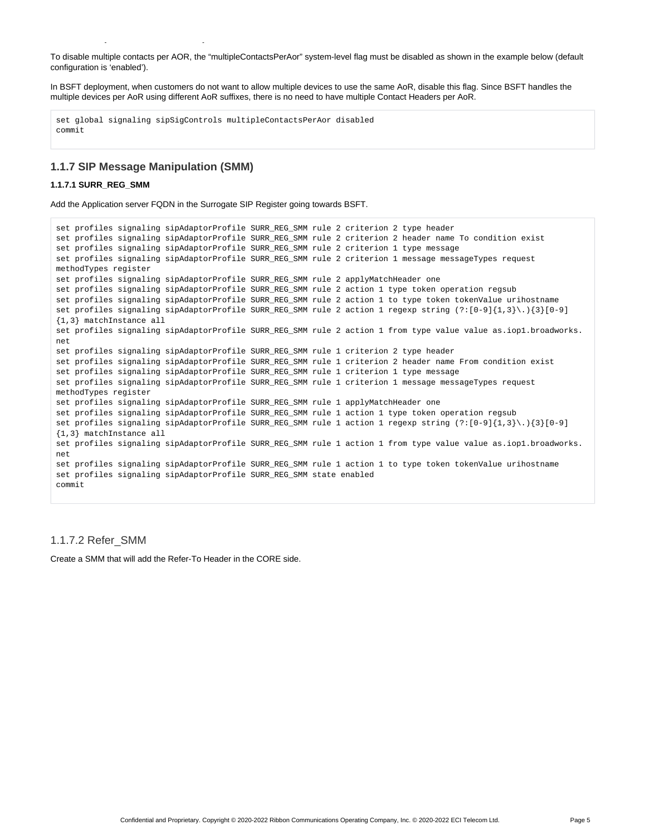To disable multiple contacts per AOR, the "multipleContactsPerAor" system-level flag must be disabled as shown in the example below (default configuration is 'enabled').

In BSFT deployment, when customers do not want to allow multiple devices to use the same AoR, disable this flag. Since BSFT handles the multiple devices per AoR using different AoR suffixes, there is no need to have multiple Contact Headers per AoR.

```
set global signaling sipSigControls multipleContactsPerAor disabled
commit
```
#### <span id="page-4-0"></span>**1.1.7 SIP Message Manipulation (SMM)**

**1.1.6 MultipleContactHeader per AoR**

#### **1.1.7.1 SURR\_REG\_SMM**

Add the Application server FQDN in the Surrogate SIP Register going towards BSFT.

```
set profiles signaling sipAdaptorProfile SURR_REG_SMM rule 2 criterion 2 type header
set profiles signaling sipAdaptorProfile SURR_REG_SMM rule 2 criterion 2 header name To condition exist
set profiles signaling sipAdaptorProfile SURR REG SMM rule 2 criterion 1 type message
set profiles signaling sipAdaptorProfile SURR_REG_SMM rule 2 criterion 1 message messageTypes request
methodTypes register
set profiles signaling sipAdaptorProfile SURR_REG_SMM rule 2 applyMatchHeader one
set profiles signaling sipAdaptorProfile SURR_REG_SMM rule 2 action 1 type token operation regsub
set profiles signaling sipAdaptorProfile SURR_REG_SMM rule 2 action 1 to type token tokenValue urihostname
set profiles signaling sipAdaptorProfile SURR REG SMM rule 2 action 1 regexp string (?:[0-9]{1,3}\.){3}[0-9]
{1,3} matchInstance all
set profiles signaling sipAdaptorProfile SURR_REG_SMM rule 2 action 1 from type value value as.iop1.broadworks.
net
set profiles signaling sipAdaptorProfile SURR_REG_SMM rule 1 criterion 2 type header
set profiles signaling sipAdaptorProfile SURR REG SMM rule 1 criterion 2 header name From condition exist
set profiles signaling sipAdaptorProfile SURR_REG_SMM rule 1 criterion 1 type message
set profiles signaling sipAdaptorProfile SURR_REG_SMM rule 1 criterion 1 message messageTypes request
methodTypes register
set profiles signaling sipAdaptorProfile SURR_REG_SMM rule 1 applyMatchHeader one
set profiles signaling sipAdaptorProfile SURR_REG_SMM rule 1 action 1 type token operation regsub
set profiles signaling sipAdaptorProfile SURR_REG_SMM rule 1 action 1 regexp string (?:[0-9]{1,3}\.){3}[0-9]
{1,3} matchInstance all
set profiles signaling sipAdaptorProfile SURR_REG_SMM rule 1 action 1 from type value value as.iop1.broadworks.
net
set profiles signaling sipAdaptorProfile SURR_REG_SMM rule 1 action 1 to type token tokenValue urihostname
set profiles signaling sipAdaptorProfile SURR_REG_SMM state enabled
commit
```
#### 1.1.7.2 Refer\_SMM

Create a SMM that will add the Refer-To Header in the CORE side.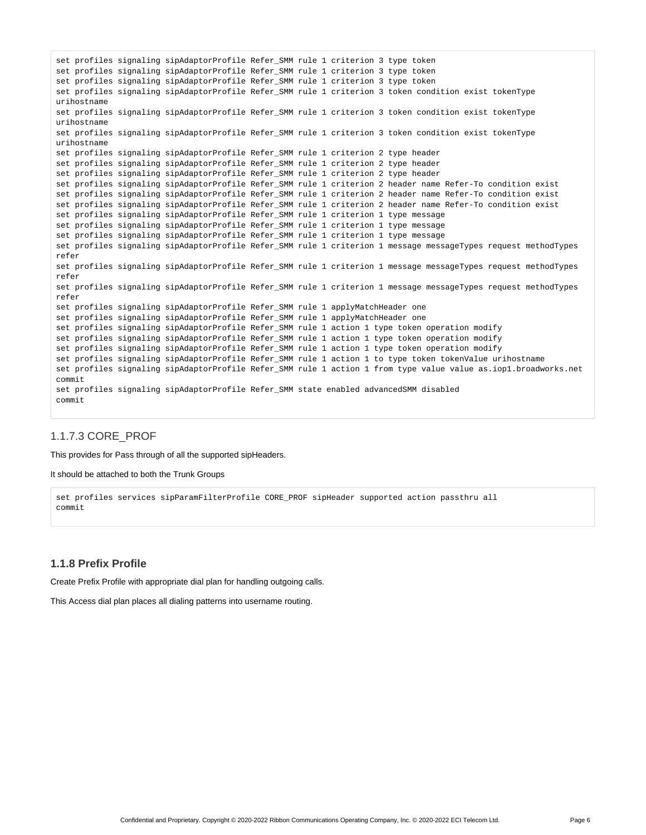```
set profiles signaling sipAdaptorProfile Refer_SMM rule 1 criterion 3 type token
set profiles signaling sipAdaptorProfile Refer_SMM rule 1 criterion 3 type token
set profiles signaling sipAdaptorProfile Refer_SMM rule 1 criterion 3 type token
set profiles signaling sipAdaptorProfile Refer_SMM rule 1 criterion 3 token condition exist tokenType 
urihostname
set profiles signaling sipAdaptorProfile Refer_SMM rule 1 criterion 3 token condition exist tokenType 
urihostname
set profiles signaling sipAdaptorProfile Refer_SMM rule 1 criterion 3 token condition exist tokenType 
urihostname
set profiles signaling sipAdaptorProfile Refer_SMM rule 1 criterion 2 type header
set profiles signaling sipAdaptorProfile Refer_SMM rule 1 criterion 2 type header
set profiles signaling sipAdaptorProfile Refer_SMM rule 1 criterion 2 type header
set profiles signaling sipAdaptorProfile Refer_SMM rule 1 criterion 2 header name Refer-To condition exist
set profiles signaling sipAdaptorProfile Refer_SMM rule 1 criterion 2 header name Refer-To condition exist
set profiles signaling sipAdaptorProfile Refer_SMM rule 1 criterion 2 header name Refer-To condition exist
set profiles signaling sipAdaptorProfile Refer_SMM rule 1 criterion 1 type message
set profiles signaling sipAdaptorProfile Refer_SMM rule 1 criterion 1 type message
set profiles signaling sipAdaptorProfile Refer_SMM rule 1 criterion 1 type message
set profiles signaling sipAdaptorProfile Refer_SMM rule 1 criterion 1 message messageTypes request methodTypes 
refer
set profiles signaling sipAdaptorProfile Refer_SMM rule 1 criterion 1 message messageTypes request methodTypes 
refer
set profiles signaling sipAdaptorProfile Refer_SMM rule 1 criterion 1 message messageTypes request methodTypes 
refer
set profiles signaling sipAdaptorProfile Refer_SMM rule 1 applyMatchHeader one
set profiles signaling sipAdaptorProfile Refer_SMM rule 1 applyMatchHeader one
set profiles signaling sipAdaptorProfile Refer_SMM rule 1 action 1 type token operation modify
set profiles signaling sipAdaptorProfile Refer_SMM rule 1 action 1 type token operation modify
set profiles signaling sipAdaptorProfile Refer_SMM rule 1 action 1 type token operation modify
set profiles signaling sipAdaptorProfile Refer_SMM rule 1 action 1 to type token tokenValue urihostname
set profiles signaling sipAdaptorProfile Refer_SMM rule 1 action 1 from type value value as.iop1.broadworks.net
commit
set profiles signaling sipAdaptorProfile Refer_SMM state enabled advancedSMM disabled
commit
```
## 1.1.7.3 CORE\_PROF

This provides for Pass through of all the supported sipHeaders.

It should be attached to both the Trunk Groups

```
set profiles services sipParamFilterProfile CORE_PROF sipHeader supported action passthru all
commit
```
### <span id="page-5-0"></span>**1.1.8 Prefix Profile**

Create Prefix Profile with appropriate dial plan for handling outgoing calls.

This Access dial plan places all dialing patterns into username routing.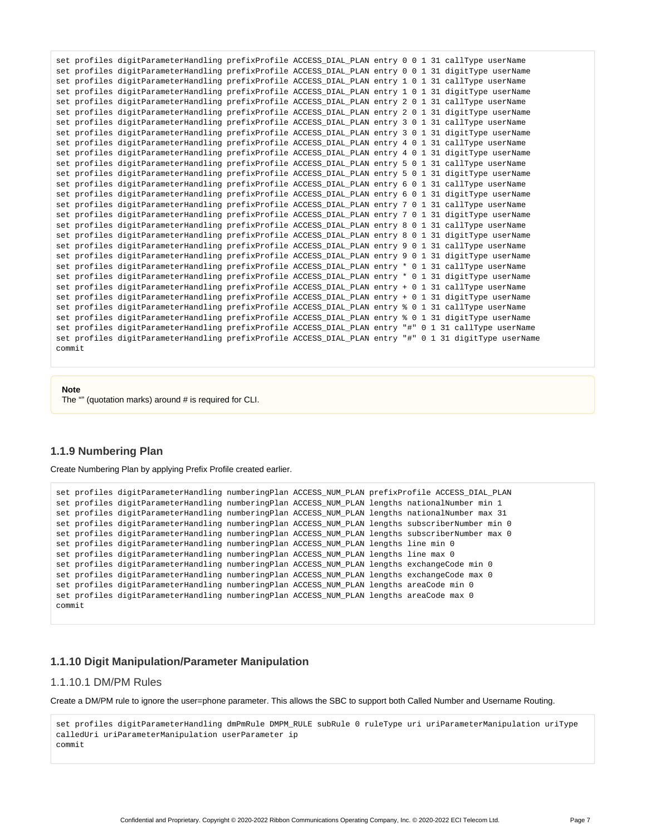|        | set profiles digitParameterHandling prefixProfile ACCESS DIAL PLAN entry 0 0 1 31 callType userName   |  |  |                                                                                                        |
|--------|-------------------------------------------------------------------------------------------------------|--|--|--------------------------------------------------------------------------------------------------------|
|        | set profiles digitParameterHandling prefixProfile ACCESS DIAL PLAN entry 0 0 1 31 digitType userName  |  |  |                                                                                                        |
|        | set profiles digitParameterHandling prefixProfile ACCESS DIAL PLAN entry 1 0 1 31 callType userName   |  |  |                                                                                                        |
|        | set profiles digitParameterHandling prefixProfile ACCESS DIAL PLAN entry 1 0 1 31 digitType userName  |  |  |                                                                                                        |
|        | set profiles digitParameterHandling prefixProfile ACCESS DIAL PLAN entry 2 0 1 31 callType userName   |  |  |                                                                                                        |
|        | set profiles digitParameterHandling prefixProfile ACCESS DIAL PLAN entry 2 0 1 31 digitType userName  |  |  |                                                                                                        |
|        | set profiles digitParameterHandling prefixProfile ACCESS DIAL PLAN entry 3 0 1 31 callType userName   |  |  |                                                                                                        |
|        | set profiles digitParameterHandling prefixProfile ACCESS DIAL PLAN entry 3 0 1 31 digitType userName  |  |  |                                                                                                        |
|        | set profiles digitParameterHandling prefixProfile ACCESS DIAL PLAN entry 4 0 1 31 callType userName   |  |  |                                                                                                        |
|        | set profiles digitParameterHandling prefixProfile ACCESS_DIAL_PLAN entry 4 0 1 31 digitType userName  |  |  |                                                                                                        |
|        | set profiles digitParameterHandling prefixProfile ACCESS DIAL PLAN entry 5 0 1 31 callType userName   |  |  |                                                                                                        |
|        | set profiles digitParameterHandling prefixProfile ACCESS DIAL PLAN entry 5 0 1 31 digitType userName  |  |  |                                                                                                        |
|        | set profiles digitParameterHandling prefixProfile ACCESS DIAL PLAN entry 6 0 1 31 callType userName   |  |  |                                                                                                        |
|        | set profiles digitParameterHandling prefixProfile ACCESS DIAL PLAN entry 6 0 1 31 digitType userName  |  |  |                                                                                                        |
|        | set profiles digitParameterHandling prefixProfile ACCESS DIAL PLAN entry 7 0 1 31 callType userName   |  |  |                                                                                                        |
|        | set profiles digitParameterHandling prefixProfile ACCESS DIAL PLAN entry 7 0 1 31 digitType userName  |  |  |                                                                                                        |
|        | set profiles digitParameterHandling prefixProfile ACCESS DIAL PLAN entry 8 0 1 31 callType userName   |  |  |                                                                                                        |
|        | set profiles digitParameterHandling prefixProfile ACCESS_DIAL_PLAN entry 8 0 1 31 digitType userName  |  |  |                                                                                                        |
|        | set profiles digitParameterHandling prefixProfile ACCESS_DIAL_PLAN entry 9 0 1 31 callType userName   |  |  |                                                                                                        |
|        | set profiles digitParameterHandling prefixProfile ACCESS DIAL PLAN entry 9 0 1 31 digitType userName  |  |  |                                                                                                        |
|        | set profiles digitParameterHandling prefixProfile ACCESS DIAL PLAN entry * 0 1 31 callType userName   |  |  |                                                                                                        |
|        | set profiles digitParameterHandling prefixProfile ACCESS DIAL PLAN entry * 0 1 31 digitType userName  |  |  |                                                                                                        |
|        | set profiles digitParameterHandling prefixProfile ACCESS DIAL PLAN entry + 0 1 31 callType userName   |  |  |                                                                                                        |
|        | set profiles digitParameterHandling prefixProfile ACCESS DIAL PLAN entry + 0 1 31 digitType userName  |  |  |                                                                                                        |
|        | set profiles digitParameterHandling prefixProfile ACCESS DIAL PLAN entry % 0 1 31 callType userName   |  |  |                                                                                                        |
|        | set profiles digitParameterHandling prefixProfile ACCESS_DIAL_PLAN entry % 0 1 31 digitType userName  |  |  |                                                                                                        |
|        | set profiles digitParameterHandling prefixProfile ACCESS_DIAL_PLAN entry "#" 0 1 31 callType userName |  |  |                                                                                                        |
|        |                                                                                                       |  |  | set profiles digitParameterHandling prefixProfile ACCESS_DIAL_PLAN entry "#" 0 1 31 digitType userName |
| commit |                                                                                                       |  |  |                                                                                                        |

**Note**

The "" (quotation marks) around # is required for CLI.

#### <span id="page-6-0"></span>**1.1.9 Numbering Plan**

Create Numbering Plan by applying Prefix Profile created earlier.

```
set profiles digitParameterHandling numberingPlan ACCESS_NUM_PLAN prefixProfile ACCESS_DIAL_PLAN
set profiles digitParameterHandling numberingPlan ACCESS_NUM_PLAN lengths nationalNumber min 1
set profiles digitParameterHandling numberingPlan ACCESS_NUM_PLAN lengths nationalNumber max 31
set profiles digitParameterHandling numberingPlan ACCESS_NUM_PLAN lengths subscriberNumber min 0
set profiles digitParameterHandling numberingPlan ACCESS_NUM_PLAN lengths subscriberNumber max 0
set profiles digitParameterHandling numberingPlan ACCESS_NUM_PLAN lengths line min 0
set profiles digitParameterHandling numberingPlan ACCESS NUM PLAN lengths line max 0
set profiles digitParameterHandling numberingPlan ACCESS_NUM_PLAN lengths exchangeCode min 0
set profiles digitParameterHandling numberingPlan ACCESS_NUM_PLAN lengths exchangeCode max 0
set profiles digitParameterHandling numberingPlan ACCESS_NUM_PLAN lengths areaCode min 0
set profiles digitParameterHandling numberingPlan ACCESS_NUM_PLAN lengths areaCode max 0
commit
```
#### <span id="page-6-1"></span>**1.1.10 Digit Manipulation/Parameter Manipulation**

#### 1.1.10.1 DM/PM Rules

Create a DM/PM rule to ignore the user=phone parameter. This allows the SBC to support both Called Number and Username Routing.

<span id="page-6-2"></span>set profiles digitParameterHandling dmPmRule DMPM RULE subRule 0 ruleType uri uriParameterManipulation uriType calledUri uriParameterManipulation userParameter ip commit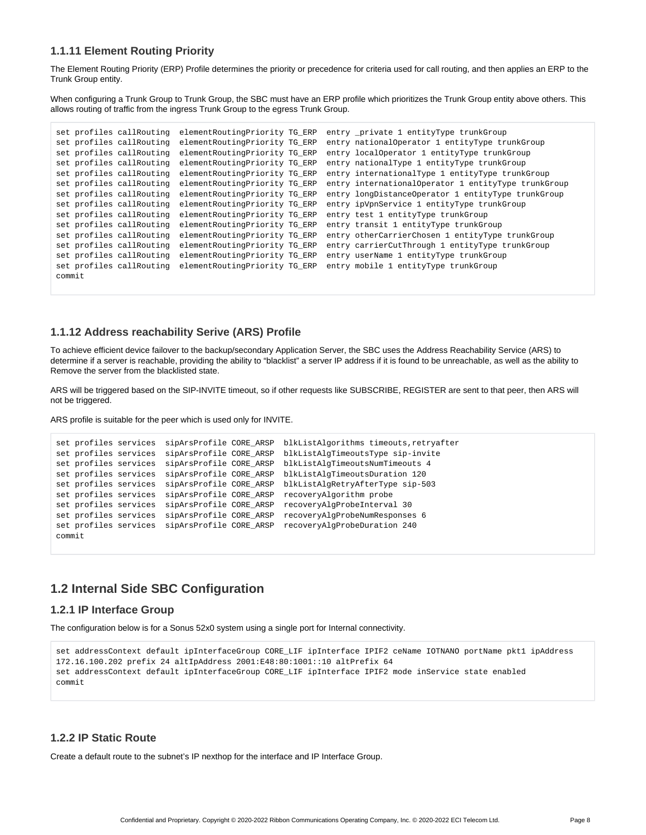#### **1.1.11 Element Routing Priority**

The Element Routing Priority (ERP) Profile determines the priority or precedence for criteria used for call routing, and then applies an ERP to the Trunk Group entity.

When configuring a Trunk Group to Trunk Group, the SBC must have an ERP profile which prioritizes the Trunk Group entity above others. This allows routing of traffic from the ingress Trunk Group to the egress Trunk Group.

```
set profiles callRouting elementRoutingPriority TG_ERP entry _private 1 entityType trunkGroup
set profiles callRouting elementRoutingPriority TG_ERP entry nationalOperator 1 entityType trunkGroup
set profiles callRouting elementRoutingPriority TG_ERP entry localOperator 1 entityType trunkGroup
set profiles callRouting elementRoutingPriority TG_ERP entry nationalType 1 entityType trunkGroup
set profiles callRouting elementRoutingPriority TG_ERP entry internationalType 1 entityType trunkGroup
set profiles callRouting elementRoutingPriority TG_ERP entry internationalOperator 1 entityType trunkGroup
set profiles callRouting elementRoutingPriority TG_ERP entry longDistanceOperator 1 entityType trunkGroup
set profiles callRouting elementRoutingPriority TG_ERP entry ipVpnService 1 entityType trunkGroup
set profiles callRouting elementRoutingPriority TG_ERP entry test 1 entityType trunkGroup
set profiles callRouting elementRoutingPriority TG_ERP entry transit 1 entityType trunkGroup
set profiles callRouting elementRoutingPriority TG_ERP entry otherCarrierChosen 1 entityType trunkGroup
set profiles callRouting elementRoutingPriority TG_ERP entry carrierCutThrough 1 entityType trunkGroup
set profiles callRouting elementRoutingPriority TG_ERP entry userName 1 entityType trunkGroup
set profiles callRouting elementRoutingPriority TG_ERP entry mobile 1 entityType trunkGroup
commit
```
#### <span id="page-7-0"></span>**1.1.12 Address reachability Serive (ARS) Profile**

To achieve efficient device failover to the backup/secondary Application Server, the SBC uses the Address Reachability Service (ARS) to determine if a server is reachable, providing the ability to "blacklist" a server IP address if it is found to be unreachable, as well as the ability to Remove the server from the blacklisted state.

ARS will be triggered based on the SIP-INVITE timeout, so if other requests like SUBSCRIBE, REGISTER are sent to that peer, then ARS will not be triggered.

ARS profile is suitable for the peer which is used only for INVITE.

```
set profiles services sipArsProfile CORE_ARSP blkListAlgorithms timeouts,retryafter
set profiles services sipArsProfile CORE_ARSP blkListAlgTimeoutsType sip-invite
set profiles services sipArsProfile CORE_ARSP blkListAlgTimeoutsNumTimeouts 4
set profiles services sipArsProfile CORE_ARSP blkListAlgTimeoutsDuration 120
set profiles services sipArsProfile CORE_ARSP blkListAlgRetryAfterType sip-503
set profiles services sipArsProfile CORE_ARSP recoveryAlgorithm probe
set profiles services sipArsProfile CORE_ARSP recoveryAlgProbeInterval 30
set profiles services sipArsProfile CORE_ARSP recoveryAlgProbeNumResponses 6
set profiles services sipArsProfile CORE_ARSP recoveryAlgProbeDuration 240
commit
```
## <span id="page-7-1"></span>**1.2 Internal Side SBC Configuration**

#### <span id="page-7-2"></span>**1.2.1 IP Interface Group**

The configuration below is for a Sonus 52x0 system using a single port for Internal connectivity.

```
set addressContext default ipInterfaceGroup CORE_LIF ipInterface IPIF2 ceName IOTNANO portName pkt1 ipAddress 
172.16.100.202 prefix 24 altIpAddress 2001:E48:80:1001::10 altPrefix 64
set addressContext default ipInterfaceGroup CORE_LIF ipInterface IPIF2 mode inService state enabled
commit
```
#### <span id="page-7-3"></span>**1.2.2 IP Static Route**

Create a default route to the subnet's IP nexthop for the interface and IP Interface Group.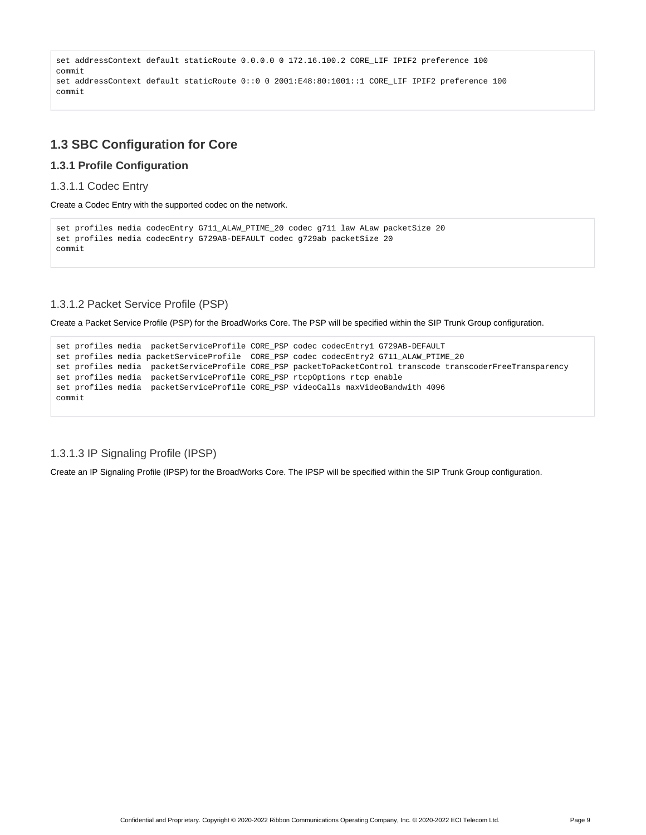```
set addressContext default staticRoute 0.0.0.0 0 172.16.100.2 CORE_LIF IPIF2 preference 100
commit
set addressContext default staticRoute 0::0 0 2001:E48:80:1001::1 CORE_LIF IPIF2 preference 100
commit
```
## <span id="page-8-0"></span>**1.3 SBC Configuration for Core**

### <span id="page-8-1"></span>**1.3.1 Profile Configuration**

#### 1.3.1.1 Codec Entry

Create a Codec Entry with the supported codec on the network.

```
set profiles media codecEntry G711_ALAW_PTIME_20 codec g711 law ALaw packetSize 20
set profiles media codecEntry G729AB-DEFAULT codec g729ab packetSize 20
commit
```
## 1.3.1.2 Packet Service Profile (PSP)

Create a Packet Service Profile (PSP) for the BroadWorks Core. The PSP will be specified within the SIP Trunk Group configuration.

```
set profiles media packetServiceProfile CORE_PSP codec codecEntry1 G729AB-DEFAULT
set profiles media packetServiceProfile CORE_PSP codec codecEntry2 G711_ALAW_PTIME_20
set profiles media packetServiceProfile CORE_PSP packetToPacketControl transcode transcoderFreeTransparency 
set profiles media packetServiceProfile CORE_PSP rtcpOptions rtcp enable
set profiles media packetServiceProfile CORE_PSP videoCalls maxVideoBandwith 4096
commit
```
### 1.3.1.3 IP Signaling Profile (IPSP)

Create an IP Signaling Profile (IPSP) for the BroadWorks Core. The IPSP will be specified within the SIP Trunk Group configuration.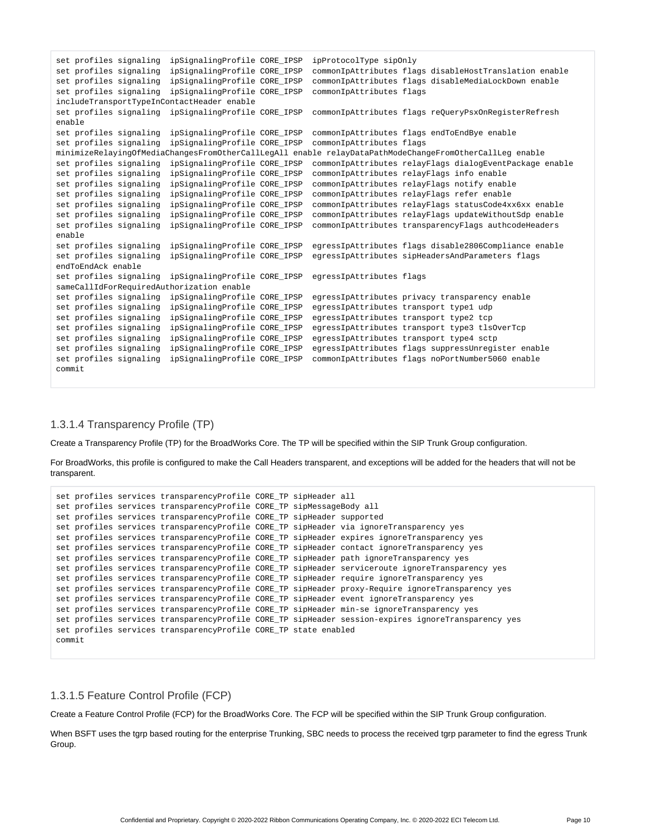```
set profiles signaling ipSignalingProfile CORE_IPSP ipProtocolType sipOnly
set profiles signaling ipSignalingProfile CORE_IPSP commonIpAttributes flags disableHostTranslation enable
set profiles signaling ipSignalingProfile CORE_IPSP commonIpAttributes flags disableMediaLockDown enable
set profiles signaling ipSignalingProfile CORE_IPSP commonIpAttributes flags
includeTransportTypeInContactHeader enable
set profiles signaling ipSignalingProfile CORE_IPSP commonIpAttributes flags reQueryPsxOnRegisterRefresh 
enable
set profiles signaling ipSignalingProfile CORE_IPSP commonIpAttributes flags endToEndBye enable
set profiles signaling ipSignalingProfile CORE_IPSP commonIpAttributes flags 
minimizeRelayingOfMediaChangesFromOtherCallLegAll enable relayDataPathModeChangeFromOtherCallLeg enable
set profiles signaling ipSignalingProfile CORE_IPSP commonIpAttributes relayFlags dialogEventPackage enable
set profiles signaling ipSignalingProfile CORE_IPSP commonIpAttributes relayFlags info enable
set profiles signaling ipSignalingProfile CORE_IPSP commonIpAttributes relayFlags notify enable
set profiles signaling ipSignalingProfile CORE_IPSP commonIpAttributes relayFlags refer enable
set profiles signaling ipSignalingProfile CORE_IPSP commonIpAttributes relayFlags statusCode4xx6xx enable
set profiles signaling ipSignalingProfile CORE_IPSP commonIpAttributes relayFlags updateWithoutSdp enable
set profiles signaling ipSignalingProfile CORE_IPSP commonIpAttributes transparencyFlags authcodeHeaders 
enable
set profiles signaling ipSignalingProfile CORE_IPSP egressIpAttributes flags disable2806Compliance enable
set profiles signaling ipSignalingProfile CORE_IPSP egressIpAttributes sipHeadersAndParameters flags 
endToEndAck enable
set profiles signaling ipSignalingProfile CORE_IPSP egressIpAttributes flags 
sameCallIdForRequiredAuthorization enable
set profiles signaling ipSignalingProfile CORE_IPSP egressIpAttributes privacy transparency enable
set profiles signaling ipSignalingProfile CORE_IPSP egressIpAttributes transport type1 udp
set profiles signaling ipSignalingProfile CORE_IPSP egressIpAttributes transport type2 tcp
set profiles signaling ipSignalingProfile CORE_IPSP egressIpAttributes transport type3 tlsOverTcp
set profiles signaling ipSignalingProfile CORE_IPSP egressIpAttributes transport type4 sctp
set profiles signaling ipSignalingProfile CORE_IPSP egressIpAttributes flags suppressUnregister enable
set profiles signaling ipSignalingProfile CORE_IPSP commonIpAttributes flags noPortNumber5060 enable
commit
```
#### 1.3.1.4 Transparency Profile (TP)

Create a Transparency Profile (TP) for the BroadWorks Core. The TP will be specified within the SIP Trunk Group configuration.

For BroadWorks, this profile is configured to make the Call Headers transparent, and exceptions will be added for the headers that will not be transparent.

```
set profiles services transparencyProfile CORE_TP sipHeader all
set profiles services transparencyProfile CORE_TP sipMessageBody all
set profiles services transparencyProfile CORE_TP sipHeader supported
set profiles services transparencyProfile CORE_TP sipHeader via ignoreTransparency yes
set profiles services transparencyProfile CORE_TP sipHeader expires ignoreTransparency yes
set profiles services transparencyProfile CORE_TP sipHeader contact ignoreTransparency yes
set profiles services transparencyProfile CORE_TP sipHeader path ignoreTransparency yes
set profiles services transparencyProfile CORE_TP sipHeader serviceroute ignoreTransparency yes
set profiles services transparencyProfile CORE_TP sipHeader require ignoreTransparency yes
set profiles services transparencyProfile CORE_TP sipHeader proxy-Require ignoreTransparency yes
set profiles services transparencyProfile CORE_TP sipHeader event ignoreTransparency yes
set profiles services transparencyProfile CORE_TP sipHeader min-se ignoreTransparency yes
set profiles services transparencyProfile CORE_TP sipHeader session-expires ignoreTransparency yes
set profiles services transparencyProfile CORE_TP state enabled
commit
```
### 1.3.1.5 Feature Control Profile (FCP)

Create a Feature Control Profile (FCP) for the BroadWorks Core. The FCP will be specified within the SIP Trunk Group configuration.

When BSFT uses the tgrp based routing for the enterprise Trunking, SBC needs to process the received tgrp parameter to find the egress Trunk Group.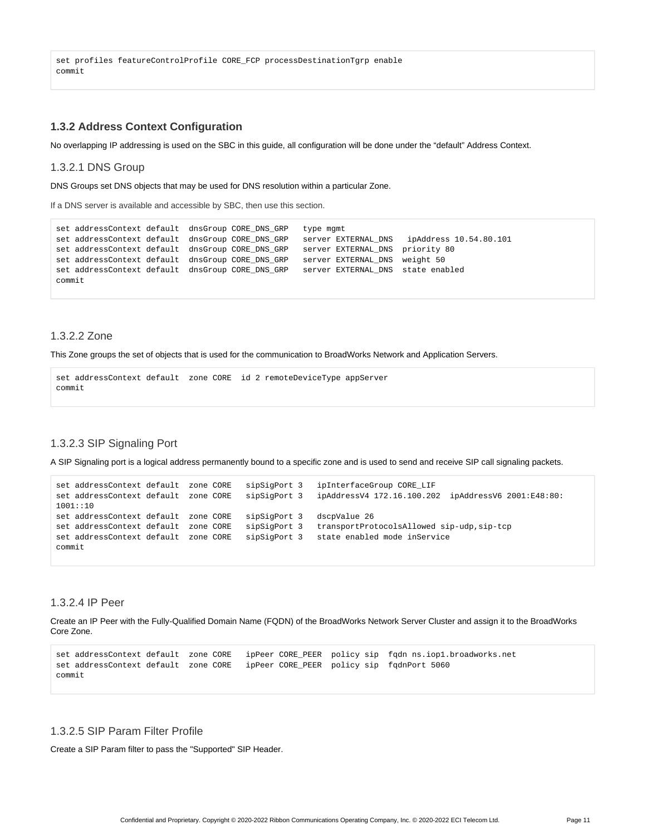set profiles featureControlProfile CORE\_FCP processDestinationTgrp enable commit

#### <span id="page-10-0"></span>**1.3.2 Address Context Configuration**

No overlapping IP addressing is used on the SBC in this guide, all configuration will be done under the "default" Address Context.

#### 1.3.2.1 DNS Group

DNS Groups set DNS objects that may be used for DNS resolution within a particular Zone.

If a DNS server is available and accessible by SBC, then use this section.

```
set addressContext default dnsGroup CORE_DNS_GRP type mgmt
set addressContext default dnsGroup CORE_DNS_GRP server EXTERNAL_DNS ipAddress 10.54.80.101 
set addressContext default dnsGroup CORE_DNS_GRP server EXTERNAL_DNS priority 80
set addressContext default dnsGroup CORE_DNS_GRP server EXTERNAL_DNS weight 50
set addressContext default dnsGroup CORE_DNS_GRP server EXTERNAL_DNS state enabled
commit
```
#### 1.3.2.2 Zone

This Zone groups the set of objects that is used for the communication to BroadWorks Network and Application Servers.

```
set addressContext default zone CORE id 2 remoteDeviceType appServer
commit
```
#### 1.3.2.3 SIP Signaling Port

A SIP Signaling port is a logical address permanently bound to a specific zone and is used to send and receive SIP call signaling packets.

```
set addressContext default zone CORE sipSigPort 3 ipInterfaceGroup CORE_LIF 
set addressContext default zone CORE sipSigPort 3 ipAddressV4 172.16.100.202 ipAddressV6 2001:E48:80:
1001::10
set addressContext default zone CORE sipSigPort 3 dscpValue 26
set addressContext default zone CORE sipSigPort 3 transportProtocolsAllowed sip-udp,sip-tcp
set addressContext default zone CORE sipSigPort 3 state enabled mode inService
commit
```
#### 1.3.2.4 IP Peer

Create an IP Peer with the Fully-Qualified Domain Name (FQDN) of the BroadWorks Network Server Cluster and assign it to the BroadWorks Core Zone.

```
set addressContext default zone CORE ipPeer CORE PEER policy sip fqdn ns.iop1.broadworks.net
set addressContext default zone CORE ipPeer CORE_PEER policy sip fqdnPort 5060 
commit
```
### 1.3.2.5 SIP Param Filter Profile

Create a SIP Param filter to pass the "Supported" SIP Header.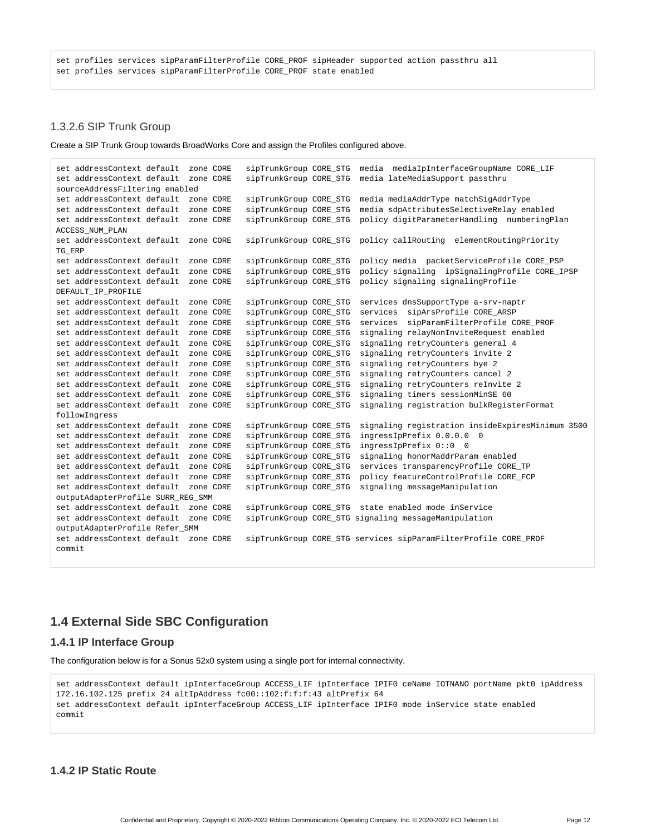#### 1.3.2.6 SIP Trunk Group

Create a SIP Trunk Group towards BroadWorks Core and assign the Profiles configured above.

```
set addressContext default zone CORE sipTrunkGroup CORE_STG media mediaIpInterfaceGroupName CORE_LIF 
set addressContext default zone CORE sipTrunkGroup CORE_STG media lateMediaSupport passthru 
sourceAddressFiltering enabled
set addressContext default zone CORE sipTrunkGroup CORE_STG media mediaAddrType matchSigAddrType
set addressContext default zone CORE sipTrunkGroup CORE STG media sdpAttributesSelectiveRelay enabled
set addressContext default zone CORE sipTrunkGroup CORE_STG policy digitParameterHandling numberingPlan 
ACCESS_NUM_PLAN 
set addressContext default zone CORE sipTrunkGroup CORE STG policy callRouting elementRoutingPriority
TG_ERP 
set addressContext default zone CORE sipTrunkGroup CORE_STG policy media packetServiceProfile CORE_PSP 
set addressContext default zone CORE sipTrunkGroup CORE_STG policy signaling ipSignalingProfile CORE_IPSP 
set addressContext default zone CORE sipTrunkGroup CORE STG policy signaling signalingProfile
DEFAULT_IP_PROFILE
set addressContext default zone CORE sipTrunkGroup CORE_STG services dnsSupportType a-srv-naptr
set addressContext default zone CORE sipTrunkGroup CORE_STG services sipArsProfile CORE_ARSP 
set addressContext default zone CORE sipTrunkGroup CORE_STG services sipParamFilterProfile CORE_PROF<br>set addressContext default zone CORE sipTrunkGroup CORE_STG signaling relayNonInviteRequest enabled
                                      sipTrunkGroup CORE_STG signaling relayNonInviteRequest enabled
set addressContext default zone CORE sipTrunkGroup CORE_STG signaling retryCounters general 4
set addressContext default zone CORE sipTrunkGroup CORE_STG signaling retryCounters invite 2
set addressContext default zone CORE sipTrunkGroup CORE_STG signaling retryCounters bye 2
set addressContext default zone CORE sipTrunkGroup CORE_STG signaling retryCounters cancel 2
set addressContext default zone CORE sipTrunkGroup CORE_STG signaling retryCounters reInvite 2
set addressContext default zone CORE sipTrunkGroup CORE_STG signaling timers sessionMinSE 60
set addressContext default zone CORE sipTrunkGroup CORE_STG signaling registration bulkRegisterFormat 
followIngress
set addressContext default zone CORE sipTrunkGroup CORE STG signaling registration insideExpiresMinimum 3500
set addressContext default zone CORE sipTrunkGroup CORE_STG ingressIpPrefix 0.0.0.0 0 
set addressContext default zone CORE sipTrunkGroup CORE_STG ingressIpPrefix 0::0 0
set addressContext default zone CORE sipTrunkGroup CORE_STG signaling honorMaddrParam enabled
set addressContext default zone CORE sipTrunkGroup CORE_STG services transparencyProfile CORE_TP
set addressContext default zone CORE sipTrunkGroup CORE_STG policy featureControlProfile CORE_FCP
set addressContext default zone CORE sipTrunkGroup CORE_STG signaling messageManipulation 
outputAdapterProfile SURR_REG_SMM 
                                      sipTrunkGroup CORE STG state enabled mode inService
set addressContext default zone CORE sipTrunkGroup CORE_STG signaling messageManipulation 
outputAdapterProfile Refer_SMM
set addressContext default zone CORE sipTrunkGroup CORE_STG services sipParamFilterProfile CORE_PROF
commit
```
## <span id="page-11-0"></span>**1.4 External Side SBC Configuration**

### <span id="page-11-1"></span>**1.4.1 IP Interface Group**

The configuration below is for a Sonus 52x0 system using a single port for internal connectivity.

```
set addressContext default ipInterfaceGroup ACCESS_LIF ipInterface IPIF0 ceName IOTNANO portName pkt0 ipAddress 
172.16.102.125 prefix 24 altIpAddress fc00::102:f:f:f:43 altPrefix 64
set addressContext default ipInterfaceGroup ACCESS LIF ipInterface IPIF0 mode inService state enabled
commit
```
#### <span id="page-11-2"></span>**1.4.2 IP Static Route**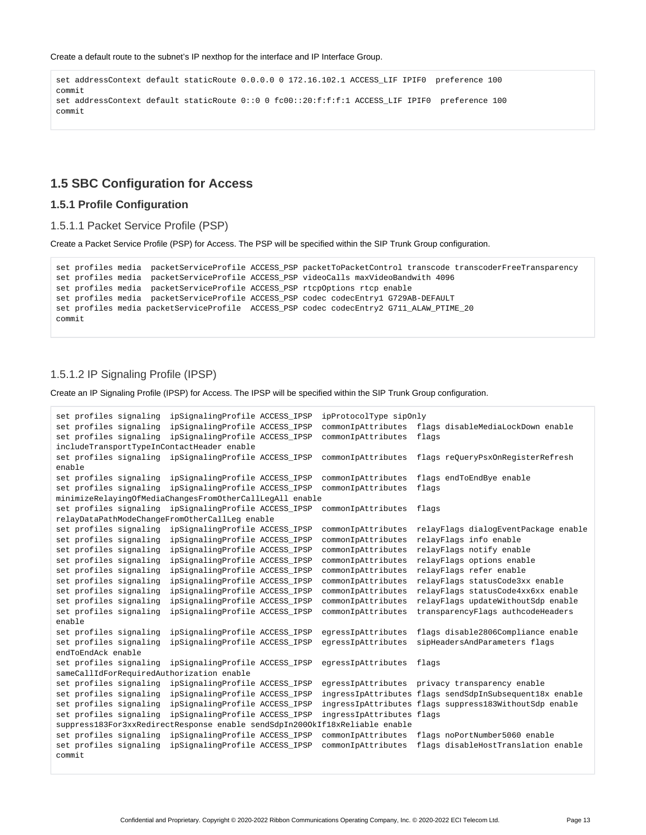Create a default route to the subnet's IP nexthop for the interface and IP Interface Group.

set addressContext default staticRoute 0.0.0.0 0 172.16.102.1 ACCESS\_LIF IPIF0 preference 100 commit set addressContext default staticRoute 0::0 0 fc00::20:f:f:f:1 ACCESS\_LIF IPIF0 preference 100 commit

### <span id="page-12-0"></span>**1.5 SBC Configuration for Access**

#### <span id="page-12-1"></span>**1.5.1 Profile Configuration**

1.5.1.1 Packet Service Profile (PSP)

Create a Packet Service Profile (PSP) for Access. The PSP will be specified within the SIP Trunk Group configuration.

```
set profiles media packetServiceProfile ACCESS_PSP packetToPacketControl transcode transcoderFreeTransparency
set profiles media packetServiceProfile ACCESS_PSP videoCalls maxVideoBandwith 4096
set profiles media packetServiceProfile ACCESS PSP rtcpOptions rtcp enable
set profiles media packetServiceProfile ACCESS PSP codec codecEntry1 G729AB-DEFAULT
set profiles media packetServiceProfile ACCESS_PSP codec codecEntry2 G711_ALAW_PTIME_20
commit
```
#### 1.5.1.2 IP Signaling Profile (IPSP)

Create an IP Signaling Profile (IPSP) for Access. The IPSP will be specified within the SIP Trunk Group configuration.

```
set profiles signaling ipSignalingProfile ACCESS_IPSP ipProtocolType sipOnly
set profiles signaling ipSignalingProfile ACCESS_IPSP commonIpAttributes flags disableMediaLockDown enable
set profiles signaling ipSignalingProfile ACCESS_IPSP commonIpAttributes flags
includeTransportTypeInContactHeader enable
set profiles signaling ipSignalingProfile ACCESS_IPSP commonIpAttributes flags reQueryPsxOnRegisterRefresh
enable
set profiles signaling ipSignalingProfile ACCESS_IPSP commonIpAttributes flags endToEndBye enable
set profiles signaling ipSignalingProfile ACCESS_IPSP commonIpAttributes flags
minimizeRelayingOfMediaChangesFromOtherCallLegAll enable
set profiles signaling ipSignalingProfile ACCESS_IPSP commonIpAttributes flags 
relayDataPathModeChangeFromOtherCallLeg enable
set profiles signaling ipSignalingProfile ACCESS_IPSP commonIpAttributes relayFlags dialogEventPackage enable
set profiles signaling ipSignalingProfile ACCESS_IPSP commonIpAttributes relayFlags info enable
set profiles signaling ipSignalingProfile ACCESS_IPSP commonIpAttributes relayFlags notify enable
set profiles signaling ipSignalingProfile ACCESS_IPSP commonIpAttributes relayFlags options enable
set profiles signaling ipSignalingProfile ACCESS_IPSP commonIpAttributes relayFlags refer enable
set profiles signaling ipSignalingProfile ACCESS_IPSP commonIpAttributes relayFlags statusCode3xx enable
set profiles signaling ipSignalingProfile ACCESS_IPSP commonIpAttributes relayFlags statusCode4xx6xx enable
set profiles signaling ipSignalingProfile ACCESS_IPSP commonIpAttributes relayFlags updateWithoutSdp enable
set profiles signaling ipSignalingProfile ACCESS_IPSP commonIpAttributes transparencyFlags authcodeHeaders 
enable
set profiles signaling ipSignalingProfile ACCESS_IPSP egressIpAttributes flags disable2806Compliance enable
set profiles signaling ipSignalingProfile ACCESS_IPSP egressIpAttributes sipHeadersAndParameters flags 
endToEndAck enable
set profiles signaling ipSignalingProfile ACCESS_IPSP egressIpAttributes flags 
sameCallIdForRequiredAuthorization enable
set profiles signaling ipSignalingProfile ACCESS_IPSP egressIpAttributes privacy transparency enable
set profiles signaling ipSignalingProfile ACCESS_IPSP ingressIpAttributes flags sendSdpInSubsequent18x enable
set profiles signaling ipSignalingProfile ACCESS_IPSP ingressIpAttributes flags suppress183WithoutSdp enable
set profiles signaling ipSignalingProfile ACCESS_IPSP ingressIpAttributes flags 
suppress183For3xxRedirectResponse enable sendSdpIn200OkIf18xReliable enable
set profiles signaling ipSignalingProfile ACCESS_IPSP commonIpAttributes flags noPortNumber5060 enable
set profiles signaling ipSignalingProfile ACCESS_IPSP commonIpAttributes flags disableHostTranslation enable
commit
```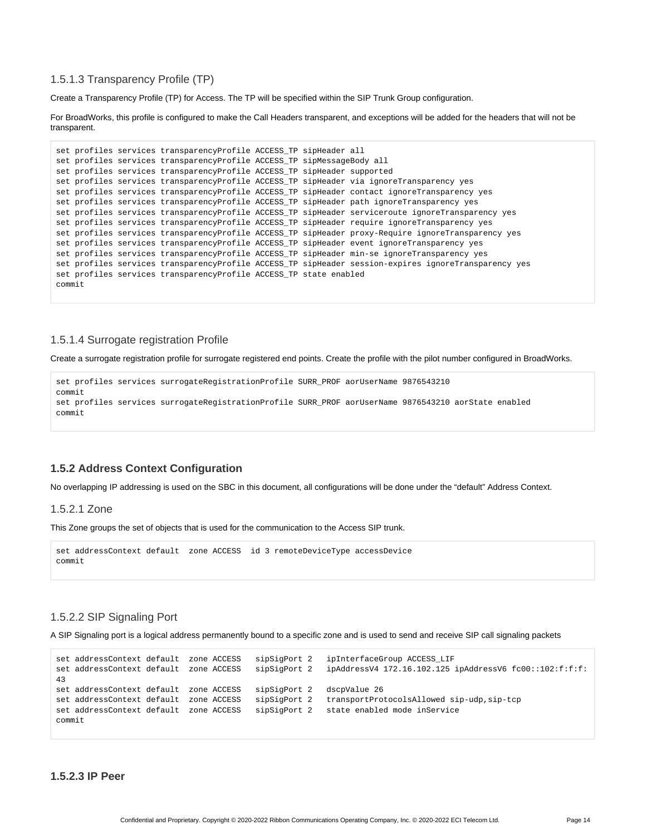#### 1.5.1.3 Transparency Profile (TP)

Create a Transparency Profile (TP) for Access. The TP will be specified within the SIP Trunk Group configuration.

For BroadWorks, this profile is configured to make the Call Headers transparent, and exceptions will be added for the headers that will not be transparent.

```
set profiles services transparencyProfile ACCESS_TP sipHeader all
set profiles services transparencyProfile ACCESS_TP sipMessageBody all
set profiles services transparencyProfile ACCESS_TP sipHeader supported
set profiles services transparencyProfile ACCESS_TP sipHeader via ignoreTransparency yes
set profiles services transparencyProfile ACCESS_TP sipHeader contact ignoreTransparency yes
set profiles services transparencyProfile ACCESS_TP sipHeader path ignoreTransparency yes
set profiles services transparencyProfile ACCESS_TP sipHeader serviceroute ignoreTransparency yes
set profiles services transparencyProfile ACCESS_TP sipHeader require ignoreTransparency yes
set profiles services transparencyProfile ACCESS_TP sipHeader proxy-Require ignoreTransparency yes
set profiles services transparencyProfile ACCESS_TP sipHeader event ignoreTransparency yes
set profiles services transparencyProfile ACCESS_TP sipHeader min-se ignoreTransparency yes
set profiles services transparencyProfile ACCESS_TP sipHeader session-expires ignoreTransparency yes
set profiles services transparencyProfile ACCESS_TP state enabled
commit
```
#### 1.5.1.4 Surrogate registration Profile

Create a surrogate registration profile for surrogate registered end points. Create the profile with the pilot number configured in BroadWorks.

```
set profiles services surrogateRegistrationProfile SURR_PROF aorUserName 9876543210
commit
set profiles services surrogateRegistrationProfile SURR PROF aorUserName 9876543210 aorState enabled
commit
```
#### <span id="page-13-0"></span>**1.5.2 Address Context Configuration**

No overlapping IP addressing is used on the SBC in this document, all configurations will be done under the "default" Address Context.

#### 1.5.2.1 Zone

This Zone groups the set of objects that is used for the communication to the Access SIP trunk.

```
set addressContext default zone ACCESS id 3 remoteDeviceType accessDevice
commit
```
#### 1.5.2.2 SIP Signaling Port

A SIP Signaling port is a logical address permanently bound to a specific zone and is used to send and receive SIP call signaling packets

```
set addressContext default zone ACCESS sipSigPort 2 ipInterfaceGroup ACCESS_LIF 
set addressContext default zone ACCESS sipSigPort 2 ipAddressV4 172.16.102.125 ipAddressV6 fc00::102:f:f:f:
43
set addressContext default zone ACCESS sipSigPort 2 dscpValue 26
set addressContext default zone ACCESS sipSigPort 2 transportProtocolsAllowed sip-udp,sip-tcp
set addressContext default zone ACCESS sipSigPort 2 state enabled mode inService
commit
```

```
1.5.2.3 IP Peer
```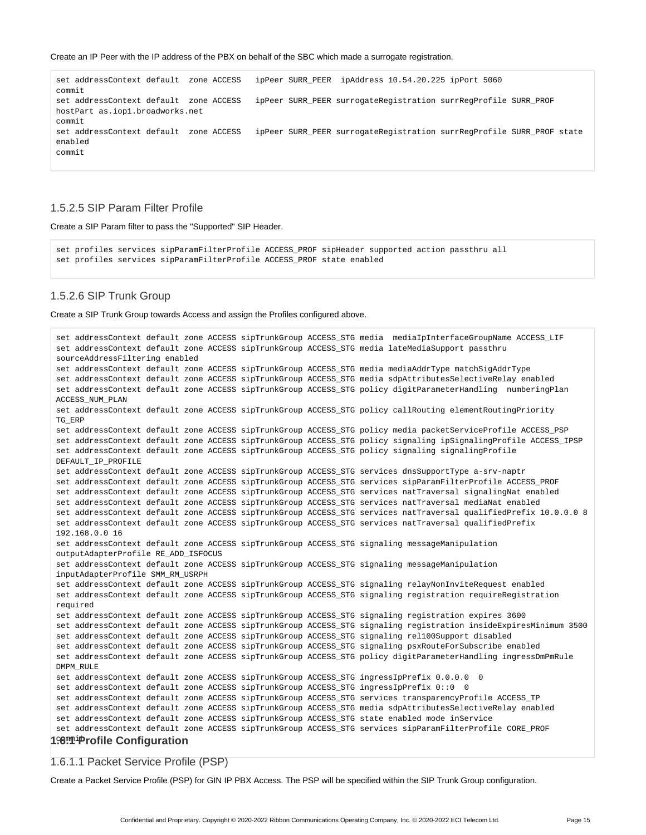Create an IP Peer with the IP address of the PBX on behalf of the SBC which made a surrogate registration.

set addressContext default zone ACCESS ipPeer SURR\_PEER ipAddress 10.54.20.225 ipPort 5060 commit set addressContext default zone ACCESS ipPeer SURR\_PEER surrogateRegistration surrRegProfile SURR\_PROF hostPart as.iop1.broadworks.net commit set addressContext default zone ACCESS ipPeer SURR\_PEER surrogateRegistration surrRegProfile SURR\_PROF state enabled commit

#### 1.5.2.5 SIP Param Filter Profile

Create a SIP Param filter to pass the "Supported" SIP Header.

set profiles services sipParamFilterProfile ACCESS\_PROF sipHeader supported action passthru all set profiles services sipParamFilterProfile ACCESS\_PROF state enabled

#### 1.5.2.6 SIP Trunk Group

Create a SIP Trunk Group towards Access and assign the Profiles configured above.

```
set addressContext default zone ACCESS sipTrunkGroup ACCESS_STG media mediaIpInterfaceGroupName ACCESS_LIF 
set addressContext default zone ACCESS sipTrunkGroup ACCESS_STG media lateMediaSupport passthru 
sourceAddressFiltering enabled
set addressContext default zone ACCESS sipTrunkGroup ACCESS_STG media mediaAddrType matchSigAddrType
set addressContext default zone ACCESS sipTrunkGroup ACCESS_STG media sdpAttributesSelectiveRelay enabled
 set addressContext default zone ACCESS sipTrunkGroup ACCESS_STG policy digitParameterHandling numberingPlan 
ACCESS_NUM_PLAN 
set addressContext default zone ACCESS sipTrunkGroup ACCESS_STG policy callRouting elementRoutingPriority 
TG_ERP 
set addressContext default zone ACCESS sipTrunkGroup ACCESS_STG policy media packetServiceProfile ACCESS_PSP 
set addressContext default zone ACCESS sipTrunkGroup ACCESS_STG policy signaling ipSignalingProfile ACCESS_IPSP 
set addressContext default zone ACCESS sipTrunkGroup ACCESS_STG policy signaling signalingProfile 
DEFAULT_IP_PROFILE
set addressContext default zone ACCESS sipTrunkGroup ACCESS_STG services dnsSupportType a-srv-naptr
set addressContext default zone ACCESS sipTrunkGroup ACCESS_STG services sipParamFilterProfile ACCESS_PROF
set addressContext default zone ACCESS sipTrunkGroup ACCESS_STG services natTraversal signalingNat enabled
set addressContext default zone ACCESS sipTrunkGroup ACCESS_STG services natTraversal mediaNat enabled
set addressContext default zone ACCESS sipTrunkGroup ACCESS_STG services natTraversal qualifiedPrefix 10.0.0.0 8
 set addressContext default zone ACCESS sipTrunkGroup ACCESS_STG services natTraversal qualifiedPrefix 
 192.168.0.0 16
 set addressContext default zone ACCESS sipTrunkGroup ACCESS_STG signaling messageManipulation 
outputAdapterProfile RE_ADD_ISFOCUS 
 set addressContext default zone ACCESS sipTrunkGroup ACCESS_STG signaling messageManipulation 
 inputAdapterProfile SMM_RM_USRPH 
set addressContext default zone ACCESS sipTrunkGroup ACCESS_STG signaling relayNonInviteRequest enabled
 set addressContext default zone ACCESS sipTrunkGroup ACCESS_STG signaling registration requireRegistration 
required 
set addressContext default zone ACCESS sipTrunkGroup ACCESS_STG signaling registration expires 3600
set addressContext default zone ACCESS sipTrunkGroup ACCESS_STG signaling registration insideExpiresMinimum 3500
set addressContext default zone ACCESS sipTrunkGroup ACCESS_STG signaling rel100Support disabled
set addressContext default zone ACCESS sipTrunkGroup ACCESS_STG signaling psxRouteForSubscribe enabled
 set addressContext default zone ACCESS sipTrunkGroup ACCESS_STG policy digitParameterHandling ingressDmPmRule 
DMPM_RULE
set addressContext default zone ACCESS sipTrunkGroup ACCESS_STG ingressIpPrefix 0.0.0.0 0
set addressContext default zone ACCESS sipTrunkGroup ACCESS_STG ingressIpPrefix 0:0 0
set addressContext default zone ACCESS sipTrunkGroup ACCESS_STG services transparencyProfile ACCESS_TP
set addressContext default zone ACCESS sipTrunkGroup ACCESS_STG media sdpAttributesSelectiveRelay enabled
 set addressContext default zone ACCESS sipTrunkGroup ACCESS_STG state enabled mode inService
 set addressContext default zone ACCESS sipTrunkGroup ACCESS_STG services sipParamFilterProfile CORE_PROF 
1<sup>:6 . Profile Configuration</sup>
```
#### 1.6.1.1 Packet Service Profile (PSP)

Create a Packet Service Profile (PSP) for GIN IP PBX Access. The PSP will be specified within the SIP Trunk Group configuration.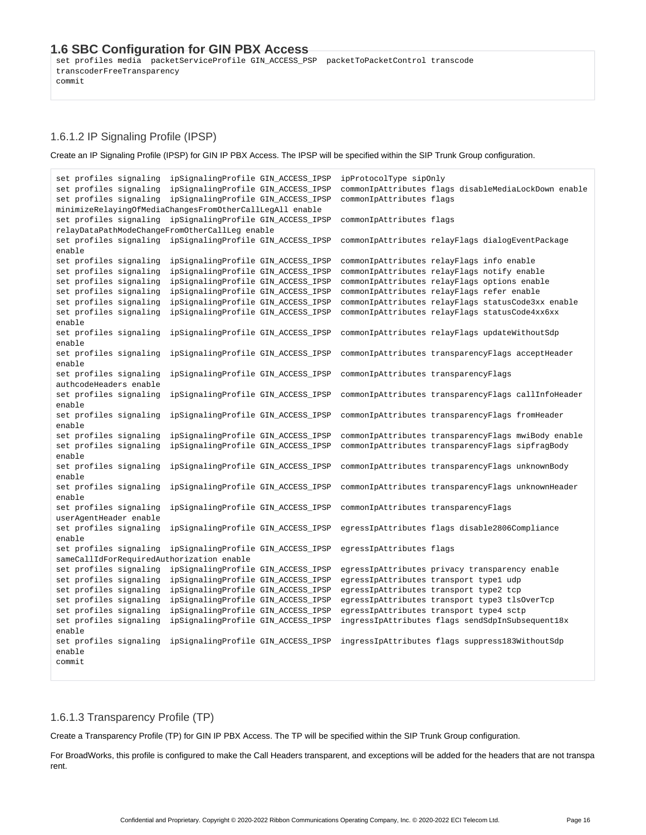### <span id="page-15-1"></span><span id="page-15-0"></span>**1.6 SBC Configuration for GIN PBX Access**

set profiles media packetServiceProfile GIN\_ACCESS\_PSP packetToPacketControl transcode transcoderFreeTransparency commit

#### 1.6.1.2 IP Signaling Profile (IPSP)

Create an IP Signaling Profile (IPSP) for GIN IP PBX Access. The IPSP will be specified within the SIP Trunk Group configuration.

```
set profiles signaling ipSignalingProfile GIN_ACCESS_IPSP ipProtocolType sipOnly
set profiles signaling ipSignalingProfile GIN_ACCESS_IPSP commonIpAttributes flags disableMediaLockDown enable
set profiles signaling ipSignalingProfile GIN_ACCESS_IPSP commonIpAttributes flags 
minimizeRelayingOfMediaChangesFromOtherCallLegAll enable
set profiles signaling ipSignalingProfile GIN_ACCESS_IPSP commonIpAttributes flags 
relayDataPathModeChangeFromOtherCallLeg enable
set profiles signaling ipSignalingProfile GIN ACCESS IPSP commonIpAttributes relayFlags dialogEventPackage
enable
set profiles signaling ipSignalingProfile GIN_ACCESS_IPSP commonIpAttributes relayFlags info enable
set profiles signaling ipSignalingProfile GIN_ACCESS_IPSP commonIpAttributes relayFlags notify enable
set profiles signaling ipSignalingProfile GIN ACCESS IPSP commonIpAttributes relayFlags options enable
set profiles signaling ipSignalingProfile GIN_ACCESS_IPSP commonIpAttributes relayFlags refer enable
set profiles signaling ipSignalingProfile GIN_ACCESS_IPSP commonIpAttributes relayFlags statusCode3xx enable
set profiles signaling ipSignalingProfile GIN ACCESS IPSP commonIpAttributes relayFlags statusCode4xx6xx
enable
set profiles signaling ipSignalingProfile GIN_ACCESS_IPSP commonIpAttributes relayFlags updateWithoutSdp 
enable
set profiles signaling ipSignalingProfile GIN_ACCESS_IPSP commonIpAttributes transparencyFlags acceptHeader 
enable
set profiles signaling ipSignalingProfile GIN ACCESS IPSP commonIpAttributes transparencyFlags
authcodeHeaders enable
set profiles signaling ipSignalingProfile GIN_ACCESS_IPSP commonIpAttributes transparencyFlags callInfoHeader 
enable
set profiles signaling ipSignalingProfile GIN ACCESS IPSP commonIpAttributes transparencyFlags fromHeader
enable
set profiles signaling ipSignalingProfile GIN_ACCESS_IPSP commonIpAttributes transparencyFlags mwiBody enable
set profiles signaling ipSignalingProfile GIN ACCESS IPSP commonIpAttributes transparencyFlags sipfragBody
enable
set profiles signaling ipSignalingProfile GIN_ACCESS_IPSP commonIpAttributes transparencyFlags unknownBody 
enable
set profiles signaling ipSignalingProfile GIN_ACCESS_IPSP commonIpAttributes transparencyFlags unknownHeader 
enable
set profiles signaling ipSignalingProfile GIN ACCESS IPSP commonIpAttributes transparencyFlags
userAgentHeader enable
set profiles signaling ipSignalingProfile GIN_ACCESS_IPSP egressIpAttributes flags disable2806Compliance 
enable
set profiles signaling ipSignalingProfile GIN ACCESS IPSP egressIpAttributes flags
sameCallIdForRequiredAuthorization enable
set profiles signaling ipSignalingProfile GIN_ACCESS_IPSP egressIpAttributes privacy transparency enable
set profiles signaling ipSignalingProfile GIN_ACCESS_IPSP egressIpAttributes transport type1 udp
set profiles signaling ipSignalingProfile GIN_ACCESS_IPSP egressIpAttributes transport type2 tcp
set profiles signaling ipSignalingProfile GIN_ACCESS_IPSP egressIpAttributes transport type3 tlsOverTcp
set profiles signaling ipSignalingProfile GIN ACCESS IPSP egressIpAttributes transport type4 sctp
set profiles signaling ipSignalingProfile GIN_ACCESS_IPSP ingressIpAttributes flags sendSdpInSubsequent18x 
enable
set profiles signaling ipSignalingProfile GIN ACCESS IPSP ingressIpAttributes flags suppress183WithoutSdp
enable
commit
```
#### 1.6.1.3 Transparency Profile (TP)

Create a Transparency Profile (TP) for GIN IP PBX Access. The TP will be specified within the SIP Trunk Group configuration.

For BroadWorks, this profile is configured to make the Call Headers transparent, and exceptions will be added for the headers that are not transpa rent.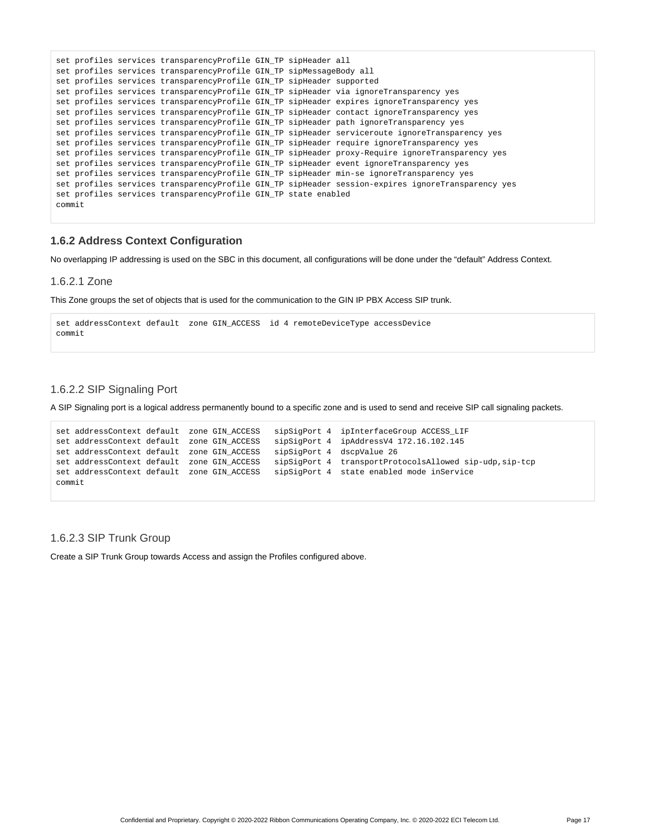```
set profiles services transparencyProfile GIN_TP sipHeader all
set profiles services transparencyProfile GIN_TP sipMessageBody all
set profiles services transparencyProfile GIN_TP sipHeader supported
set profiles services transparencyProfile GIN_TP sipHeader via ignoreTransparency yes
set profiles services transparencyProfile GIN_TP sipHeader expires ignoreTransparency yes
set profiles services transparencyProfile GIN_TP sipHeader contact ignoreTransparency yes
set profiles services transparencyProfile GIN_TP sipHeader path ignoreTransparency yes
set profiles services transparencyProfile GIN_TP sipHeader serviceroute ignoreTransparency yes
set profiles services transparencyProfile GIN_TP sipHeader require ignoreTransparency yes
set profiles services transparencyProfile GIN_TP sipHeader proxy-Require ignoreTransparency yes
set profiles services transparencyProfile GIN_TP sipHeader event ignoreTransparency yes
set profiles services transparencyProfile GIN_TP sipHeader min-se ignoreTransparency yes
set profiles services transparencyProfile GIN_TP sipHeader session-expires ignoreTransparency yes
set profiles services transparencyProfile GIN_TP state enabled
commit
```
#### <span id="page-16-0"></span>**1.6.2 Address Context Configuration**

No overlapping IP addressing is used on the SBC in this document, all configurations will be done under the "default" Address Context.

#### 1.6.2.1 Zone

This Zone groups the set of objects that is used for the communication to the GIN IP PBX Access SIP trunk.

```
set addressContext default zone GIN_ACCESS id 4 remoteDeviceType accessDevice
commit
```
#### 1.6.2.2 SIP Signaling Port

A SIP Signaling port is a logical address permanently bound to a specific zone and is used to send and receive SIP call signaling packets.

```
set addressContext default zone GIN_ACCESS sipSigPort 4 ipInterfaceGroup ACCESS_LIF 
set addressContext default zone GIN_ACCESS sipSigPort 4 ipAddressV4 172.16.102.145
set addressContext default zone GIN_ACCESS sipSigPort 4 dscpValue 26
set addressContext default zone GIN_ACCESS sipSigPort 4 transportProtocolsAllowed sip-udp,sip-tcp
set addressContext default zone GIN_ACCESS sipSigPort 4 state enabled mode inService
commit
```
#### 1.6.2.3 SIP Trunk Group

Create a SIP Trunk Group towards Access and assign the Profiles configured above.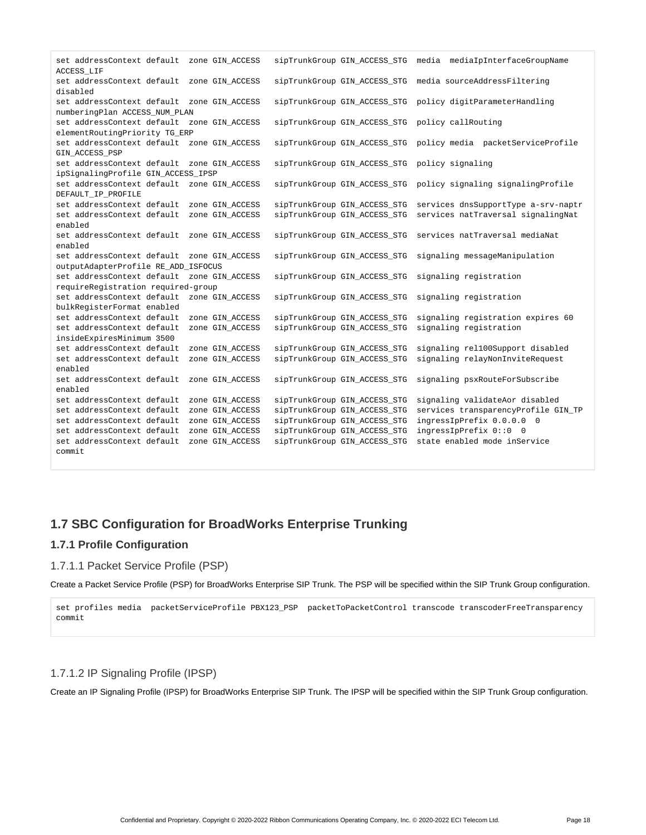| set addressContext default<br>ACCESS LIF   |  | zone GIN ACCESS |  | sipTrunkGroup GIN ACCESS STG | media mediaIpInterfaceGroupName     |  |  |
|--------------------------------------------|--|-----------------|--|------------------------------|-------------------------------------|--|--|
| set addressContext default<br>disabled     |  | zone GIN_ACCESS |  | sipTrunkGroup GIN_ACCESS_STG | media sourceAddressFiltering        |  |  |
| set addressContext default zone GIN ACCESS |  |                 |  | sipTrunkGroup GIN_ACCESS_STG | policy digitParameterHandling       |  |  |
| numberingPlan ACCESS_NUM_PLAN              |  |                 |  |                              |                                     |  |  |
| set addressContext default zone GIN ACCESS |  |                 |  | sipTrunkGroup GIN_ACCESS_STG | policy callRouting                  |  |  |
| elementRoutingPriority TG_ERP              |  |                 |  |                              |                                     |  |  |
| set addressContext default zone GIN_ACCESS |  |                 |  | sipTrunkGroup GIN ACCESS STG | policy media packetServiceProfile   |  |  |
| GIN ACCESS PSP                             |  |                 |  |                              |                                     |  |  |
| set addressContext default                 |  | zone GIN_ACCESS |  | sipTrunkGroup GIN_ACCESS_STG | policy signaling                    |  |  |
| ipSignalingProfile GIN_ACCESS_IPSP         |  |                 |  |                              |                                     |  |  |
| set addressContext default                 |  | zone GIN ACCESS |  | sipTrunkGroup GIN_ACCESS_STG | policy signaling signalingProfile   |  |  |
| DEFAULT_IP_PROFILE                         |  |                 |  |                              |                                     |  |  |
| set addressContext default                 |  | zone GIN ACCESS |  | sipTrunkGroup GIN_ACCESS_STG | services dnsSupportType a-srv-naptr |  |  |
| set addressContext default                 |  | zone GIN ACCESS |  | sipTrunkGroup GIN_ACCESS_STG | services natTraversal signalingNat  |  |  |
| enabled                                    |  |                 |  |                              |                                     |  |  |
| set addressContext default                 |  | zone GIN ACCESS |  | sipTrunkGroup GIN_ACCESS_STG | services natTraversal mediaNat      |  |  |
| enabled                                    |  |                 |  |                              |                                     |  |  |
| set addressContext default                 |  | zone GIN ACCESS |  | sipTrunkGroup GIN_ACCESS_STG | signaling messageManipulation       |  |  |
| outputAdapterProfile RE_ADD_ISFOCUS        |  |                 |  |                              |                                     |  |  |
| set addressContext default                 |  | zone GIN ACCESS |  | sipTrunkGroup GIN ACCESS STG | signaling registration              |  |  |
| requireRegistration required-group         |  |                 |  |                              |                                     |  |  |
| set addressContext default                 |  | zone GIN_ACCESS |  | sipTrunkGroup GIN_ACCESS_STG | signaling registration              |  |  |
| bulkReqisterFormat enabled                 |  |                 |  |                              |                                     |  |  |
| set addressContext default                 |  | zone GIN ACCESS |  | sipTrunkGroup GIN_ACCESS_STG | signaling registration expires 60   |  |  |
| set addressContext default                 |  | zone GIN_ACCESS |  | sipTrunkGroup GIN_ACCESS_STG | signaling registration              |  |  |
| insideExpiresMinimum 3500                  |  |                 |  |                              |                                     |  |  |
| set addressContext default                 |  | zone GIN_ACCESS |  | sipTrunkGroup GIN_ACCESS_STG | signaling rel100Support disabled    |  |  |
| set addressContext default                 |  | zone GIN ACCESS |  | sipTrunkGroup GIN ACCESS STG | signaling relayNonInviteRequest     |  |  |
| enabled                                    |  |                 |  |                              |                                     |  |  |
| set addressContext default                 |  | zone GIN_ACCESS |  | sipTrunkGroup GIN_ACCESS_STG | signaling psxRouteForSubscribe      |  |  |
| enabled                                    |  |                 |  |                              |                                     |  |  |
| set addressContext default                 |  | zone GIN_ACCESS |  | sipTrunkGroup GIN_ACCESS_STG | signaling validateAor disabled      |  |  |
| set addressContext default                 |  | zone GIN_ACCESS |  | sipTrunkGroup GIN_ACCESS_STG | services transparencyProfile GIN_TP |  |  |
| set addressContext default                 |  | zone GIN ACCESS |  | sipTrunkGroup GIN_ACCESS_STG | ingressIpPrefix 0.0.0.0 0           |  |  |
| set addressContext default                 |  | zone GIN_ACCESS |  | sipTrunkGroup GIN_ACCESS_STG | ingressIpPrefix 0::0 0              |  |  |
| set addressContext default                 |  | zone GIN ACCESS |  | sipTrunkGroup GIN ACCESS STG | state enabled mode inService        |  |  |
| commit                                     |  |                 |  |                              |                                     |  |  |

## <span id="page-17-0"></span>**1.7 SBC Configuration for BroadWorks Enterprise Trunking**

### <span id="page-17-1"></span>**1.7.1 Profile Configuration**

#### 1.7.1.1 Packet Service Profile (PSP)

Create a Packet Service Profile (PSP) for BroadWorks Enterprise SIP Trunk. The PSP will be specified within the SIP Trunk Group configuration.

set profiles media packetServiceProfile PBX123\_PSP packetToPacketControl transcode transcoderFreeTransparency commit

### 1.7.1.2 IP Signaling Profile (IPSP)

Create an IP Signaling Profile (IPSP) for BroadWorks Enterprise SIP Trunk. The IPSP will be specified within the SIP Trunk Group configuration.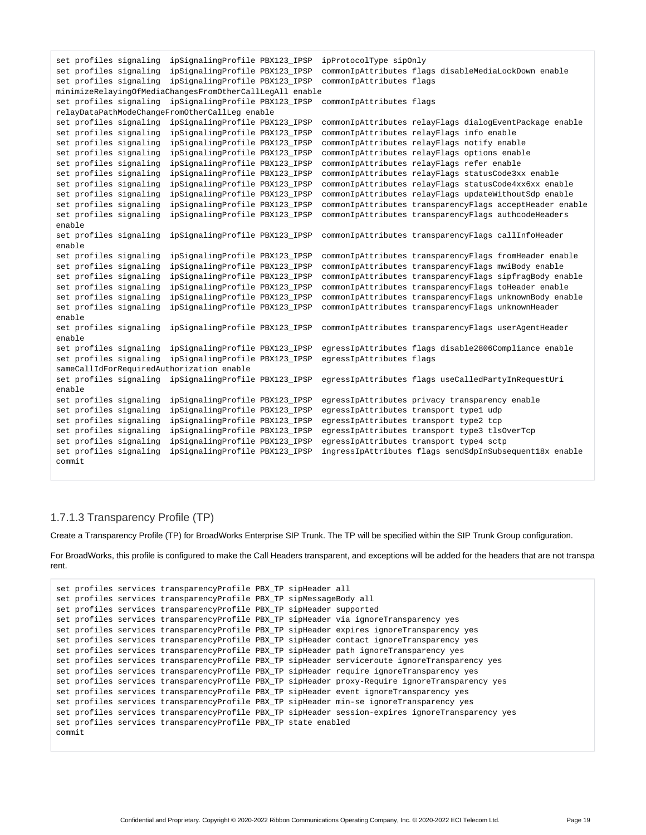```
set profiles signaling ipSignalingProfile PBX123_IPSP ipProtocolType sipOnly
set profiles signaling ipSignalingProfile PBX123_IPSP commonIpAttributes flags disableMediaLockDown enable
set profiles signaling ipSignalingProfile PBX123_IPSP commonIpAttributes flags 
minimizeRelayingOfMediaChangesFromOtherCallLegAll enable
set profiles signaling ipSignalingProfile PBX123_IPSP commonIpAttributes flags 
relayDataPathModeChangeFromOtherCallLeg enable
set profiles signaling ipSignalingProfile PBX123_IPSP commonIpAttributes relayFlags dialogEventPackage enable
set profiles signaling ipSignalingProfile PBX123_IPSP commonIpAttributes relayFlags info enable
set profiles signaling ipSignalingProfile PBX123_IPSP commonIpAttributes relayFlags notify enable
set profiles signaling ipSignalingProfile PBX123_IPSP commonIpAttributes relayFlags options enable
set profiles signaling ipSignalingProfile PBX123_IPSP commonIpAttributes relayFlags refer enable
set profiles signaling ipSignalingProfile PBX123_IPSP commonIpAttributes relayFlags statusCode3xx enable
set profiles signaling ipSignalingProfile PBX123_IPSP commonIpAttributes relayFlags statusCode4xx6xx enable
set profiles signaling ipSignalingProfile PBX123_IPSP commonIpAttributes relayFlags updateWithoutSdp enable
set profiles signaling ipSignalingProfile PBX123_IPSP commonIpAttributes transparencyFlags acceptHeader enable
set profiles signaling ipSignalingProfile PBX123_IPSP commonIpAttributes transparencyFlags authcodeHeaders
enable
set profiles signaling ipSignalingProfile PBX123_IPSP commonIpAttributes transparencyFlags callInfoHeader 
enable
set profiles signaling ipSignalingProfile PBX123_IPSP commonIpAttributes transparencyFlags fromHeader enable
set profiles signaling ipSignalingProfile PBX123_IPSP commonIpAttributes transparencyFlags mwiBody enable
set profiles signaling ipSignalingProfile PBX123_IPSP commonIpAttributes transparencyFlags sipfragBody enable
set profiles signaling ipSignalingProfile PBX123_IPSP commonIpAttributes transparencyFlags toHeader enable
set profiles signaling ipSignalingProfile PBX123_IPSP commonIpAttributes transparencyFlags unknownBody enable
set profiles signaling ipSignalingProfile PBX123_IPSP commonIpAttributes transparencyFlags unknownHeader
enable
set profiles signaling ipSignalingProfile PBX123_IPSP commonIpAttributes transparencyFlags userAgentHeader 
enable
set profiles signaling ipSignalingProfile PBX123_IPSP egressIpAttributes flags disable2806Compliance enable
set profiles signaling ipSignalingProfile PBX123_IPSP egressIpAttributes flags 
sameCallIdForRequiredAuthorization enable
set profiles signaling ipSignalingProfile PBX123_IPSP egressIpAttributes flags useCalledPartyInRequestUri
enable
set profiles signaling ipSignalingProfile PBX123_IPSP egressIpAttributes privacy transparency enable
set profiles signaling ipSignalingProfile PBX123_IPSP egressIpAttributes transport type1 udp
set profiles signaling ipSignalingProfile PBX123_IPSP egressIpAttributes transport type2 tcp
set profiles signaling ipSignalingProfile PBX123_IPSP egressIpAttributes transport type3 tlsOverTcp
set profiles signaling ipSignalingProfile PBX123_IPSP egressIpAttributes transport type4 sctp
set profiles signaling ipSignalingProfile PBX123_IPSP ingressIpAttributes flags sendSdpInSubsequent18x enable
commit
```
### 1.7.1.3 Transparency Profile (TP)

Create a Transparency Profile (TP) for BroadWorks Enterprise SIP Trunk. The TP will be specified within the SIP Trunk Group configuration.

For BroadWorks, this profile is configured to make the Call Headers transparent, and exceptions will be added for the headers that are not transpa rent.

```
set profiles services transparencyProfile PBX_TP sipHeader all
set profiles services transparencyProfile PBX_TP sipMessageBody all
set profiles services transparencyProfile PBX_TP sipHeader supported
set profiles services transparencyProfile PBX_TP sipHeader via ignoreTransparency yes
set profiles services transparencyProfile PBX_TP sipHeader expires ignoreTransparency yes
set profiles services transparencyProfile PBX_TP sipHeader contact ignoreTransparency yes
set profiles services transparencyProfile PBX_TP sipHeader path ignoreTransparency yes
set profiles services transparencyProfile PBX_TP sipHeader serviceroute ignoreTransparency yes
set profiles services transparencyProfile PBX_TP sipHeader require ignoreTransparency yes
set profiles services transparencyProfile PBX_TP sipHeader proxy-Require ignoreTransparency yes
set profiles services transparencyProfile PBX_TP sipHeader event ignoreTransparency yes
set profiles services transparencyProfile PBX_TP sipHeader min-se ignoreTransparency yes
set profiles services transparencyProfile PBX_TP sipHeader session-expires ignoreTransparency yes
set profiles services transparencyProfile PBX_TP state enabled
commit
```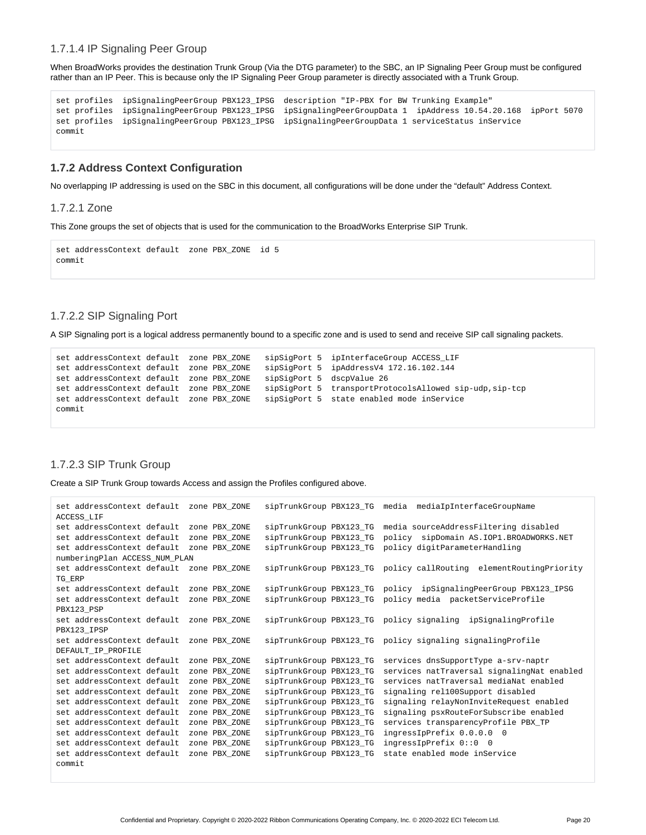#### 1.7.1.4 IP Signaling Peer Group

When BroadWorks provides the destination Trunk Group (Via the DTG parameter) to the SBC, an IP Signaling Peer Group must be configured rather than an IP Peer. This is because only the IP Signaling Peer Group parameter is directly associated with a Trunk Group.

```
set profiles ipSignalingPeerGroup PBX123_IPSG description "IP-PBX for BW Trunking Example"
set profiles ipSignalingPeerGroup PBX123_IPSG ipSignalingPeerGroupData 1 ipAddress 10.54.20.168 ipPort 5070
set profiles ipSignalingPeerGroup PBX123_IPSG ipSignalingPeerGroupData 1 serviceStatus inService
commit
```
## <span id="page-19-0"></span>**1.7.2 Address Context Configuration**

No overlapping IP addressing is used on the SBC in this document, all configurations will be done under the "default" Address Context.

#### 1.7.2.1 Zone

This Zone groups the set of objects that is used for the communication to the BroadWorks Enterprise SIP Trunk.

```
set addressContext default zone PBX_ZONE id 5
commit
```
### 1.7.2.2 SIP Signaling Port

A SIP Signaling port is a logical address permanently bound to a specific zone and is used to send and receive SIP call signaling packets.

```
set addressContext default zone PBX_ZONE sipSigPort 5 ipInterfaceGroup ACCESS_LIF 
set addressContext default zone PBX_ZONE sipSigPort 5 ipAddressV4 172.16.102.144 
set addressContext default zone PBX_ZONE
set addressContext default zone PBX_ZONE sipSigPort 5 dscpValue 26<br>set addressContext default zone PBX_ZONE sipSigPort 5 transportProtocolsAllowed sip-udp,sip-tcp
set addressContext default zone PBX_ZONE sipSigPort 5 state enabled mode inService
commit
```
#### 1.7.2.3 SIP Trunk Group

Create a SIP Trunk Group towards Access and assign the Profiles configured above.

```
set addressContext default zone PBX_ZONE sipTrunkGroup PBX123_TG media mediaIpInterfaceGroupName 
ACCESS_LIF 
set addressContext default zone PBX_ZONE sipTrunkGroup PBX123_TG media sourceAddressFiltering disabled
set addressContext default zone PBX_ZONE sipTrunkGroup PBX123_TG policy sipDomain AS.IOP1.BROADWORKS.NET 
set addressContext default zone PBX_ZONE sipTrunkGroup PBX123_TG policy digitParameterHandling 
numberingPlan ACCESS_NUM_PLAN
set addressContext default zone PBX_ZONE sipTrunkGroup PBX123_TG policy callRouting elementRoutingPriority 
TG_ERP 
set addressContext default zone PBX_ZONE sipTrunkGroup PBX123_TG policy ipSignalingPeerGroup PBX123_IPSG 
set addressContext default zone PBX_ZONE sipTrunkGroup PBX123_TG policy media packetServiceProfile 
PBX123_PSP 
set addressContext default zone PBX_ZONE sipTrunkGroup PBX123_TG policy signaling ipSignalingProfile 
PBX123_IPSP 
set addressContext default zone PBX_ZONE sipTrunkGroup PBX123_TG policy signaling signalingProfile 
DEFAULT_IP_PROFILE<br>set addressContext default zone PBX_ZONE
                                          sipTrunkGroup PBX123_TG services dnsSupportType a-srv-naptr
set addressContext default zone PBX_ZONE sipTrunkGroup PBX123_TG services natTraversal signalingNat enabled
set addressContext default zone PBX_ZONE sipTrunkGroup PBX123_TG services natTraversal mediaNat enabled
set addressContext default zone PBX_ZONE sipTrunkGroup PBX123_TG signaling rel100Support disabled
set addressContext default zone PBX_ZONE sipTrunkGroup PBX123_TG signaling relayNonInviteRequest enabled
set addressContext default zone PBX_ZONE sipTrunkGroup PBX123_TG signaling psxRouteForSubscribe enabled
set addressContext default zone PBX_ZONE sipTrunkGroup PBX123_TG services transparencyProfile PBX_TP
set addressContext default zone PBX_ZONE sipTrunkGroup PBX123_TG ingressIpPrefix 0.0.0.0 0 
set addressContext default zone PBX_ZONE sipTrunkGroup PBX123_TG ingressIpPrefix 0::0 0
set addressContext default zone PBX_ZONE sipTrunkGroup PBX123_TG state enabled mode inService
commit
```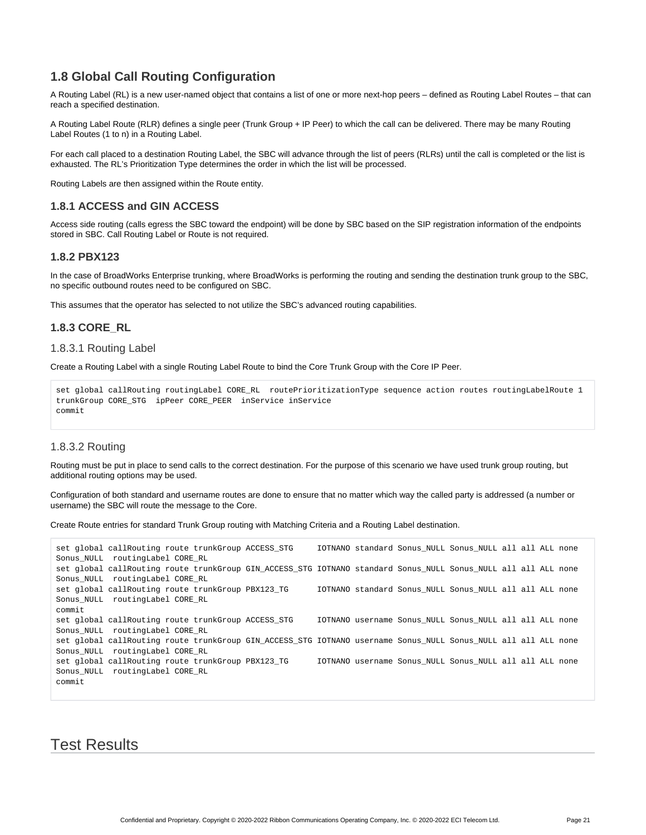## **1.8 Global Call Routing Configuration**

<span id="page-20-0"></span>A Routing Label (RL) is a new user-named object that contains a list of one or more next-hop peers – defined as Routing Label Routes – that can reach a specified destination.

A Routing Label Route (RLR) defines a single peer (Trunk Group + IP Peer) to which the call can be delivered. There may be many Routing Label Routes (1 to n) in a Routing Label.

For each call placed to a destination Routing Label, the SBC will advance through the list of peers (RLRs) until the call is completed or the list is exhausted. The RL's Prioritization Type determines the order in which the list will be processed.

Routing Labels are then assigned within the Route entity.

### <span id="page-20-1"></span>**1.8.1 ACCESS and GIN ACCESS**

Access side routing (calls egress the SBC toward the endpoint) will be done by SBC based on the SIP registration information of the endpoints stored in SBC. Call Routing Label or Route is not required.

### <span id="page-20-2"></span>**1.8.2 PBX123**

In the case of BroadWorks Enterprise trunking, where BroadWorks is performing the routing and sending the destination trunk group to the SBC, no specific outbound routes need to be configured on SBC.

This assumes that the operator has selected to not utilize the SBC's advanced routing capabilities.

### <span id="page-20-3"></span>**1.8.3 CORE\_RL**

#### 1.8.3.1 Routing Label

Create a Routing Label with a single Routing Label Route to bind the Core Trunk Group with the Core IP Peer.

```
set global callRouting routingLabel CORE_RL routePrioritizationType sequence action routes routingLabelRoute 1 
trunkGroup CORE_STG ipPeer CORE_PEER inService inService
commit
```
### 1.8.3.2 Routing

Routing must be put in place to send calls to the correct destination. For the purpose of this scenario we have used trunk group routing, but additional routing options may be used.

Configuration of both standard and username routes are done to ensure that no matter which way the called party is addressed (a number or username) the SBC will route the message to the Core.

Create Route entries for standard Trunk Group routing with Matching Criteria and a Routing Label destination.

```
set global callRouting route trunkGroup ACCESS STG IOTNANO standard Sonus NULL Sonus NULL all all ALL none
Sonus_NULL routingLabel CORE_RL 
set global callRouting route trunkGroup GIN_ACCESS_STG IOTNANO standard Sonus_NULL Sonus_NULL all all ALL none 
Sonus_NULL routingLabel CORE_RL 
set global callRouting route trunkGroup PBX123_TG IOTNANO standard Sonus_NULL Sonus_NULL all all ALL none 
Sonus_NULL routingLabel CORE_RL 
commit 
set global callRouting route trunkGroup ACCESS_STG IOTNANO username Sonus_NULL Sonus_NULL all all ALL none 
Sonus_NULL routingLabel CORE_RL 
set global callRouting route trunkGroup GIN_ACCESS_STG IOTNANO username Sonus_NULL Sonus_NULL all all ALL none 
Sonus_NULL routingLabel CORE_RL 
set global callRouting route trunkGroup PBX123_TG IOTNANO username Sonus_NULL Sonus_NULL all all ALL none 
Sonus_NULL routingLabel CORE_RL 
commit
```
<span id="page-20-5"></span><span id="page-20-4"></span>Test Results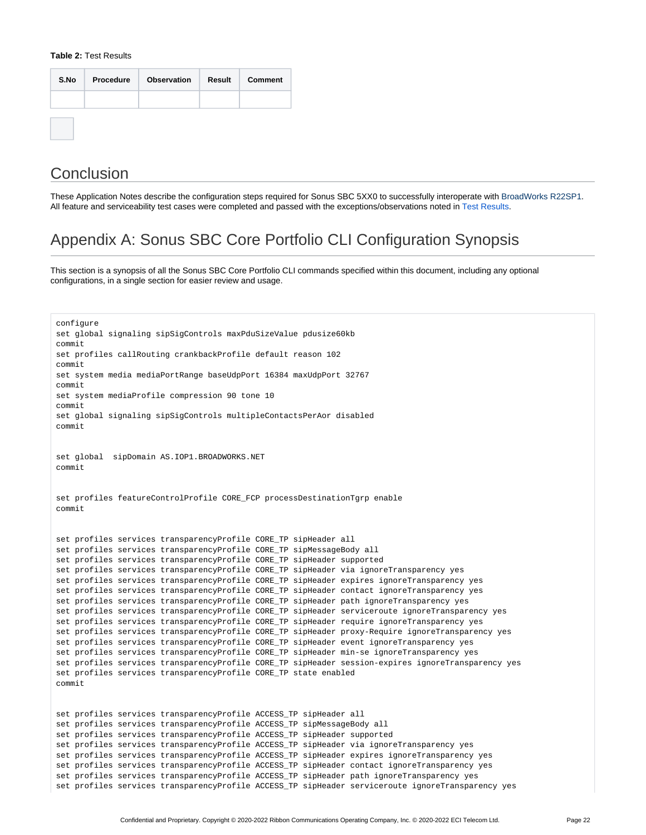#### **Table 2:** Test Results

| S.No | Procedure | <b>Observation</b> | Result | <b>Comment</b> |
|------|-----------|--------------------|--------|----------------|
|      |           |                    |        |                |
|      |           |                    |        |                |

# <span id="page-21-0"></span>**Conclusion**

These Application Notes describe the configuration steps required for Sonus SBC 5XX0 to successfully interoperate with BroadWorks R22SP1. All feature and serviceability test cases were completed and passed with the exceptions/observations noted in [Test Results.](#page-20-5)

# Appendix A: Sonus SBC Core Portfolio CLI Configuration Synopsis

<span id="page-21-1"></span>This section is a synopsis of all the Sonus SBC Core Portfolio CLI commands specified within this document, including any optional configurations, in a single section for easier review and usage.

```
configure
set global signaling sipSigControls maxPduSizeValue pdusize60kb
commit
set profiles callRouting crankbackProfile default reason 102
commit
set system media mediaPortRange baseUdpPort 16384 maxUdpPort 32767
commit
set system mediaProfile compression 90 tone 10
commit
set global signaling sipSigControls multipleContactsPerAor disabled
commit
set global sipDomain AS.IOP1.BROADWORKS.NET
commit
set profiles featureControlProfile CORE_FCP processDestinationTgrp enable
commit
set profiles services transparencyProfile CORE_TP sipHeader all
set profiles services transparencyProfile CORE_TP sipMessageBody all
set profiles services transparencyProfile CORE TP sipHeader supported
set profiles services transparencyProfile CORE_TP sipHeader via ignoreTransparency yes
set profiles services transparencyProfile CORE_TP sipHeader expires ignoreTransparency yes
set profiles services transparencyProfile CORE_TP sipHeader contact ignoreTransparency yes
set profiles services transparencyProfile CORE_TP sipHeader path ignoreTransparency yes
set profiles services transparencyProfile CORE_TP sipHeader serviceroute ignoreTransparency yes
set profiles services transparencyProfile CORE_TP sipHeader require ignoreTransparency yes
set profiles services transparencyProfile CORE_TP sipHeader proxy-Require ignoreTransparency yes
set profiles services transparencyProfile CORE_TP sipHeader event ignoreTransparency yes
set profiles services transparencyProfile CORE_TP sipHeader min-se ignoreTransparency yes
set profiles services transparencyProfile CORE_TP sipHeader session-expires ignoreTransparency yes
set profiles services transparencyProfile CORE_TP state enabled
commit
set profiles services transparencyProfile ACCESS_TP sipHeader all
set profiles services transparencyProfile ACCESS_TP sipMessageBody all
set profiles services transparencyProfile ACCESS_TP sipHeader supported
set profiles services transparencyProfile ACCESS_TP sipHeader via ignoreTransparency yes
set profiles services transparencyProfile ACCESS_TP sipHeader expires ignoreTransparency yes
set profiles services transparencyProfile ACCESS_TP sipHeader contact ignoreTransparency yes
set profiles services transparencyProfile ACCESS_TP sipHeader path ignoreTransparency yes
set profiles services transparencyProfile ACCESS_TP sipHeader serviceroute ignoreTransparency yes
```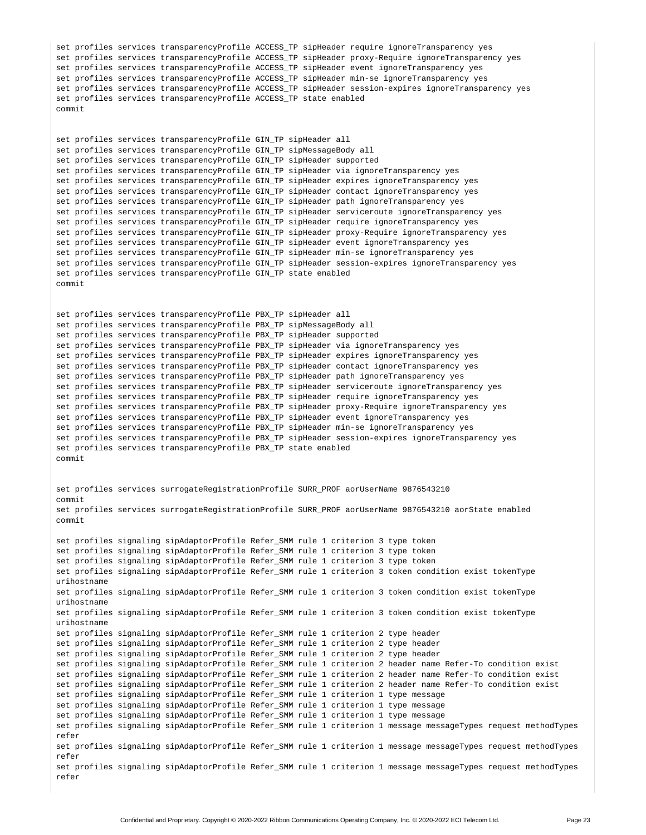```
set profiles services transparencyProfile ACCESS_TP sipHeader require ignoreTransparency yes
set profiles services transparencyProfile ACCESS_TP sipHeader proxy-Require ignoreTransparency yes
set profiles services transparencyProfile ACCESS_TP sipHeader event ignoreTransparency yes
set profiles services transparencyProfile ACCESS_TP sipHeader min-se ignoreTransparency yes
set profiles services transparencyProfile ACCESS_TP sipHeader session-expires ignoreTransparency yes
set profiles services transparencyProfile ACCESS_TP state enabled
commit
set profiles services transparencyProfile GIN_TP sipHeader all
set profiles services transparencyProfile GIN_TP sipMessageBody all
set profiles services transparencyProfile GIN_TP sipHeader supported
set profiles services transparencyProfile GIN_TP sipHeader via ignoreTransparency yes
set profiles services transparencyProfile GIN_TP sipHeader expires ignoreTransparency yes
set profiles services transparencyProfile GIN_TP sipHeader contact ignoreTransparency yes
set profiles services transparencyProfile GIN_TP sipHeader path ignoreTransparency yes
set profiles services transparencyProfile GIN_TP sipHeader serviceroute ignoreTransparency yes
set profiles services transparencyProfile GIN_TP sipHeader require ignoreTransparency yes
set profiles services transparencyProfile GIN_TP sipHeader proxy-Require ignoreTransparency yes
set profiles services transparencyProfile GIN_TP sipHeader event ignoreTransparency yes
set profiles services transparencyProfile GIN_TP sipHeader min-se ignoreTransparency yes
set profiles services transparencyProfile GIN_TP sipHeader session-expires ignoreTransparency yes
set profiles services transparencyProfile GIN_TP state enabled
commit
set profiles services transparencyProfile PBX_TP sipHeader all
set profiles services transparencyProfile PBX_TP sipMessageBody all
set profiles services transparencyProfile PBX_TP sipHeader supported
set profiles services transparencyProfile PBX_TP sipHeader via ignoreTransparency yes
set profiles services transparencyProfile PBX_TP sipHeader expires ignoreTransparency yes
set profiles services transparencyProfile PBX_TP sipHeader contact ignoreTransparency yes
set profiles services transparencyProfile PBX_TP sipHeader path ignoreTransparency yes
set profiles services transparencyProfile PBX_TP sipHeader serviceroute ignoreTransparency yes
set profiles services transparencyProfile PBX_TP sipHeader require ignoreTransparency yes
set profiles services transparencyProfile PBX_TP sipHeader proxy-Require ignoreTransparency yes
set profiles services transparencyProfile PBX_TP sipHeader event ignoreTransparency yes
set profiles services transparencyProfile PBX_TP sipHeader min-se ignoreTransparency yes
set profiles services transparencyProfile PBX_TP sipHeader session-expires ignoreTransparency yes
set profiles services transparencyProfile PBX_TP state enabled
commit
set profiles services surrogateRegistrationProfile SURR_PROF aorUserName 9876543210
commit
set profiles services surrogateRegistrationProfile SURR_PROF aorUserName 9876543210 aorState enabled
commit
set profiles signaling sipAdaptorProfile Refer_SMM rule 1 criterion 3 type token
set profiles signaling sipAdaptorProfile Refer_SMM rule 1 criterion 3 type token
set profiles signaling sipAdaptorProfile Refer_SMM rule 1 criterion 3 type token
set profiles signaling sipAdaptorProfile Refer_SMM rule 1 criterion 3 token condition exist tokenType 
urihostname
set profiles signaling sipAdaptorProfile Refer_SMM rule 1 criterion 3 token condition exist tokenType 
urihostname
set profiles signaling sipAdaptorProfile Refer_SMM rule 1 criterion 3 token condition exist tokenType 
urihostname
set profiles signaling sipAdaptorProfile Refer_SMM rule 1 criterion 2 type header
set profiles signaling sipAdaptorProfile Refer_SMM rule 1 criterion 2 type header
set profiles signaling sipAdaptorProfile Refer_SMM rule 1 criterion 2 type header
set profiles signaling sipAdaptorProfile Refer_SMM rule 1 criterion 2 header name Refer-To condition exist
set profiles signaling sipAdaptorProfile Refer_SMM rule 1 criterion 2 header name Refer-To condition exist
set profiles signaling sipAdaptorProfile Refer_SMM rule 1 criterion 2 header name Refer-To condition exist
set profiles signaling sipAdaptorProfile Refer_SMM rule 1 criterion 1 type message
set profiles signaling sipAdaptorProfile Refer_SMM rule 1 criterion 1 type message
set profiles signaling sipAdaptorProfile Refer_SMM rule 1 criterion 1 type message
set profiles signaling sipAdaptorProfile Refer_SMM rule 1 criterion 1 message messageTypes request methodTypes 
refer
set profiles signaling sipAdaptorProfile Refer_SMM rule 1 criterion 1 message messageTypes request methodTypes 
refer
set profiles signaling sipAdaptorProfile Refer_SMM rule 1 criterion 1 message messageTypes request methodTypes 
refer
```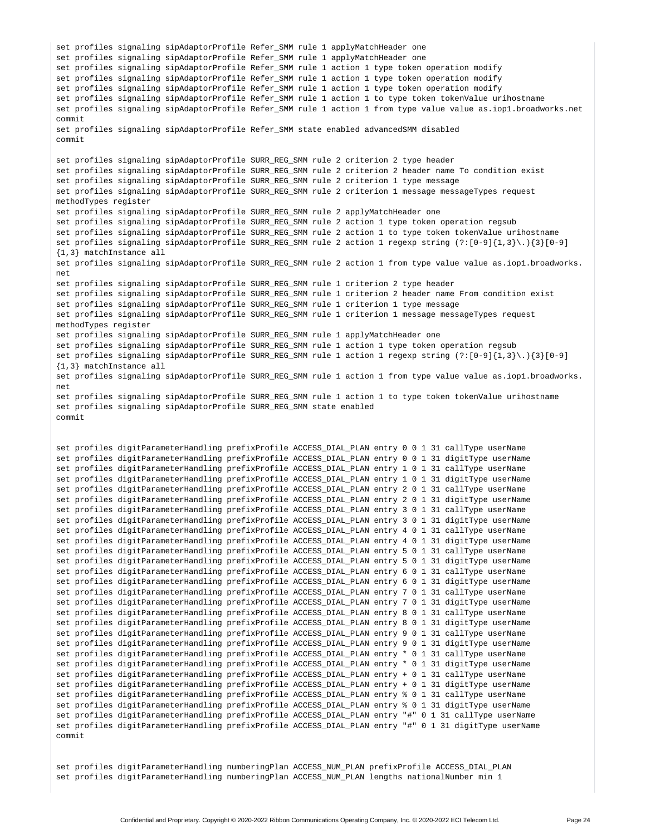```
set profiles signaling sipAdaptorProfile Refer_SMM rule 1 applyMatchHeader one
set profiles signaling sipAdaptorProfile Refer_SMM rule 1 applyMatchHeader one
set profiles signaling sipAdaptorProfile Refer_SMM rule 1 action 1 type token operation modify
set profiles signaling sipAdaptorProfile Refer_SMM rule 1 action 1 type token operation modify
set profiles signaling sipAdaptorProfile Refer_SMM rule 1 action 1 type token operation modify
set profiles signaling sipAdaptorProfile Refer_SMM rule 1 action 1 to type token tokenValue urihostname
set profiles signaling sipAdaptorProfile Refer_SMM rule 1 action 1 from type value value as.iop1.broadworks.net
commit
set profiles signaling sipAdaptorProfile Refer_SMM state enabled advancedSMM disabled
commit
set profiles signaling sipAdaptorProfile SURR_REG_SMM rule 2 criterion 2 type header
set profiles signaling sipAdaptorProfile SURR_REG_SMM rule 2 criterion 2 header name To condition exist
set profiles signaling sipAdaptorProfile SURR_REG_SMM rule 2 criterion 1 type message
set profiles signaling sipAdaptorProfile SURR_REG_SMM rule 2 criterion 1 message messageTypes request
methodTypes register
set profiles signaling sipAdaptorProfile SURR_REG_SMM rule 2 applyMatchHeader one
set profiles signaling sipAdaptorProfile SURR_REG_SMM rule 2 action 1 type token operation regsub
set profiles signaling sipAdaptorProfile SURR_REG_SMM rule 2 action 1 to type token tokenValue urihostname
set profiles signaling sipAdaptorProfile SURR_REG_SMM rule 2 action 1 regexp string (?:[0-9]{1,3}\.){3}[0-9]
{1,3} matchInstance all
set profiles signaling sipAdaptorProfile SURR_REG_SMM rule 2 action 1 from type value value as.iop1.broadworks.
net
set profiles signaling sipAdaptorProfile SURR_REG_SMM rule 1 criterion 2 type header
set profiles signaling sipAdaptorProfile SURR_REG_SMM rule 1 criterion 2 header name From condition exist
set profiles signaling sipAdaptorProfile SURR_REG_SMM rule 1 criterion 1 type message
set profiles signaling sipAdaptorProfile SURR_REG_SMM rule 1 criterion 1 message messageTypes request
methodTypes register
set profiles signaling sipAdaptorProfile SURR_REG_SMM rule 1 applyMatchHeader one
set profiles signaling sipAdaptorProfile SURR_REG_SMM rule 1 action 1 type token operation regsub
set profiles signaling sipAdaptorProfile SURR_REG_SMM rule 1 action 1 regexp string (?:[0-9]{1,3}\.){3}[0-9]
{1,3} matchInstance all
set profiles signaling sipAdaptorProfile SURR_REG_SMM rule 1 action 1 from type value value as.iop1.broadworks.
net
set profiles signaling sipAdaptorProfile SURR_REG_SMM rule 1 action 1 to type token tokenValue urihostname
set profiles signaling sipAdaptorProfile SURR_REG_SMM state enabled
commit
set profiles digitParameterHandling prefixProfile ACCESS_DIAL_PLAN entry 0 0 1 31 callType userName
set profiles digitParameterHandling prefixProfile ACCESS_DIAL_PLAN entry 0 0 1 31 digitType userName
set profiles digitParameterHandling prefixProfile ACCESS_DIAL_PLAN entry 1 0 1 31 callType userName
set profiles digitParameterHandling prefixProfile ACCESS_DIAL_PLAN entry 1 0 1 31 digitType userName
set profiles digitParameterHandling prefixProfile ACCESS_DIAL_PLAN entry 2 0 1 31 callType userName
set profiles digitParameterHandling prefixProfile ACCESS_DIAL_PLAN entry 2 0 1 31 digitType userName
set profiles digitParameterHandling prefixProfile ACCESS_DIAL_PLAN entry 3 0 1 31 callType userName
set profiles digitParameterHandling prefixProfile ACCESS_DIAL_PLAN entry 3 0 1 31 digitType userName
set profiles digitParameterHandling prefixProfile ACCESS_DIAL_PLAN entry 4 0 1 31 callType userName
set profiles digitParameterHandling prefixProfile ACCESS_DIAL_PLAN entry 4 0 1 31 digitType userName
set profiles digitParameterHandling prefixProfile ACCESS_DIAL_PLAN entry 5 0 1 31 callType userName
set profiles digitParameterHandling prefixProfile ACCESS_DIAL_PLAN entry 5 0 1 31 digitType userName
set profiles digitParameterHandling prefixProfile ACCESS_DIAL_PLAN entry 6 0 1 31 callType userName
set profiles digitParameterHandling prefixProfile ACCESS_DIAL_PLAN entry 6 0 1 31 digitType userName
set profiles digitParameterHandling prefixProfile ACCESS_DIAL_PLAN entry 7 0 1 31 callType userName
set profiles digitParameterHandling prefixProfile ACCESS_DIAL_PLAN entry 7 0 1 31 digitType userName
set profiles digitParameterHandling prefixProfile ACCESS_DIAL_PLAN entry 8 0 1 31 callType userName
set profiles digitParameterHandling prefixProfile ACCESS_DIAL_PLAN entry 8 0 1 31 digitType userName
set profiles digitParameterHandling prefixProfile ACCESS_DIAL_PLAN entry 9 0 1 31 callType userName
set profiles digitParameterHandling prefixProfile ACCESS_DIAL_PLAN entry 9 0 1 31 digitType userName
set profiles digitParameterHandling prefixProfile ACCESS_DIAL_PLAN entry * 0 1 31 callType userName
set profiles digitParameterHandling prefixProfile ACCESS_DIAL_PLAN entry * 0 1 31 digitType userName
set profiles digitParameterHandling prefixProfile ACCESS_DIAL_PLAN entry + 0 1 31 callType userName
set profiles digitParameterHandling prefixProfile ACCESS_DIAL_PLAN entry + 0 1 31 digitType userName
set profiles digitParameterHandling prefixProfile ACCESS_DIAL_PLAN entry % 0 1 31 callType userName
set profiles digitParameterHandling prefixProfile ACCESS_DIAL_PLAN entry % 0 1 31 digitType userName
set profiles digitParameterHandling prefixProfile ACCESS_DIAL_PLAN entry "#" 0 1 31 callType userName
set profiles digitParameterHandling prefixProfile ACCESS_DIAL_PLAN entry "#" 0 1 31 digitType userName
commit
```
set profiles digitParameterHandling numberingPlan ACCESS\_NUM\_PLAN prefixProfile ACCESS\_DIAL\_PLAN set profiles digitParameterHandling numberingPlan ACCESS\_NUM\_PLAN lengths nationalNumber min 1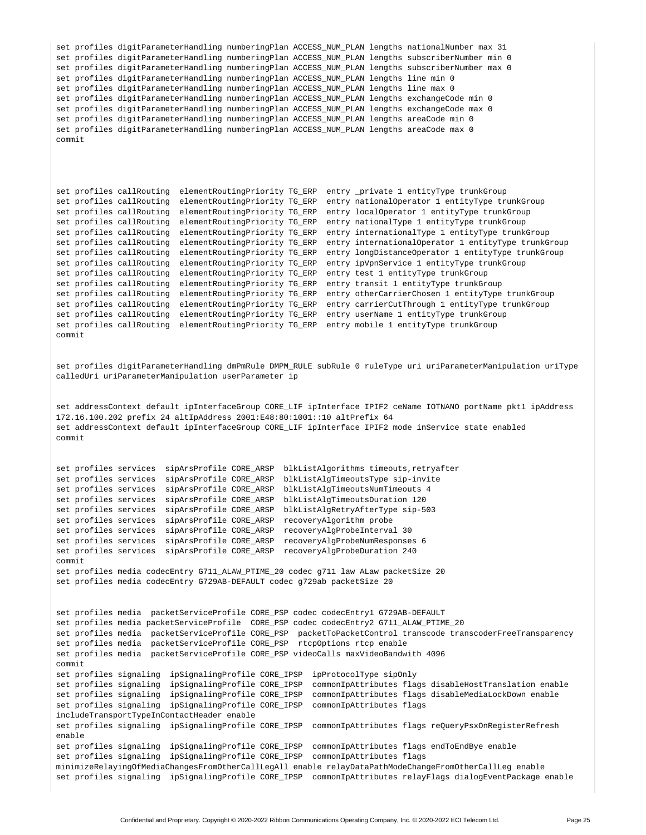```
set profiles digitParameterHandling numberingPlan ACCESS_NUM_PLAN lengths nationalNumber max 31
set profiles digitParameterHandling numberingPlan ACCESS_NUM_PLAN lengths subscriberNumber min 0
set profiles digitParameterHandling numberingPlan ACCESS_NUM_PLAN lengths subscriberNumber max 0
set profiles digitParameterHandling numberingPlan ACCESS_NUM_PLAN lengths line min 0
set profiles digitParameterHandling numberingPlan ACCESS_NUM_PLAN lengths line max 0
set profiles digitParameterHandling numberingPlan ACCESS_NUM_PLAN lengths exchangeCode min 0
set profiles digitParameterHandling numberingPlan ACCESS_NUM_PLAN lengths exchangeCode max 0
set profiles digitParameterHandling numberingPlan ACCESS_NUM_PLAN lengths areaCode min 0
set profiles digitParameterHandling numberingPlan ACCESS_NUM_PLAN lengths areaCode max 0
commit
set profiles callRouting elementRoutingPriority TG_ERP entry _private 1 entityType trunkGroup
set profiles callRouting elementRoutingPriority TG_ERP entry nationalOperator 1 entityType trunkGroup
set profiles callRouting elementRoutingPriority TG_ERP entry localOperator 1 entityType trunkGroup
set profiles callRouting elementRoutingPriority TG_ERP entry nationalType 1 entityType trunkGroup
set profiles callRouting elementRoutingPriority TG_ERP entry internationalType 1 entityType trunkGroup
set profiles callRouting elementRoutingPriority TG_ERP entry internationalOperator 1 entityType trunkGroup
set profiles callRouting elementRoutingPriority TG_ERP entry longDistanceOperator 1 entityType trunkGroup
set profiles callRouting elementRoutingPriority TG_ERP entry ipVpnService 1 entityType trunkGroup
set profiles callRouting elementRoutingPriority TG_ERP entry test 1 entityType trunkGroup
set profiles callRouting elementRoutingPriority TG_ERP entry transit 1 entityType trunkGroup
set profiles callRouting elementRoutingPriority TG_ERP entry otherCarrierChosen 1 entityType trunkGroup
set profiles callRouting elementRoutingPriority TG_ERP entry carrierCutThrough 1 entityType trunkGroup
set profiles callRouting elementRoutingPriority TG_ERP entry userName 1 entityType trunkGroup
set profiles callRouting elementRoutingPriority TG_ERP entry mobile 1 entityType trunkGroup
commit
set profiles digitParameterHandling dmPmRule DMPM_RULE subRule 0 ruleType uri uriParameterManipulation uriType 
calledUri uriParameterManipulation userParameter ip
set addressContext default ipInterfaceGroup CORE_LIF ipInterface IPIF2 ceName IOTNANO portName pkt1 ipAddress 
172.16.100.202 prefix 24 altIpAddress 2001:E48:80:1001::10 altPrefix 64
set addressContext default ipInterfaceGroup CORE_LIF ipInterface IPIF2 mode inService state enabled
commit
set profiles services sipArsProfile CORE_ARSP blkListAlgorithms timeouts,retryafter
set profiles services sipArsProfile CORE_ARSP blkListAlgTimeoutsType sip-invite
set profiles services sipArsProfile CORE_ARSP blkListAlgTimeoutsNumTimeouts 4
set profiles services sipArsProfile CORE_ARSP blkListAlgTimeoutsDuration 120
set profiles services sipArsProfile CORE_ARSP blkListAlgRetryAfterType sip-503
set profiles services sipArsProfile CORE_ARSP recoveryAlgorithm probe
set profiles services sipArsProfile CORE_ARSP recoveryAlgProbeInterval 30
set profiles services sipArsProfile CORE_ARSP recoveryAlgProbeNumResponses 6
set profiles services sipArsProfile CORE_ARSP recoveryAlgProbeDuration 240
commit
set profiles media codecEntry G711_ALAW_PTIME_20 codec g711 law ALaw packetSize 20
set profiles media codecEntry G729AB-DEFAULT codec g729ab packetSize 20
set profiles media packetServiceProfile CORE_PSP codec codecEntry1 G729AB-DEFAULT
set profiles media packetServiceProfile CORE_PSP codec codecEntry2 G711_ALAW_PTIME_20
set profiles media packetServiceProfile CORE_PSP packetToPacketControl transcode transcoderFreeTransparency 
set profiles media packetServiceProfile CORE_PSP rtcpOptions rtcp enable
set profiles media packetServiceProfile CORE_PSP videoCalls maxVideoBandwith 4096
commit
set profiles signaling ipSignalingProfile CORE_IPSP ipProtocolType sipOnly
set profiles signaling ipSignalingProfile CORE_IPSP commonIpAttributes flags disableHostTranslation enable
set profiles signaling ipSignalingProfile CORE_IPSP commonIpAttributes flags disableMediaLockDown enable
set profiles signaling ipSignalingProfile CORE_IPSP commonIpAttributes flags
includeTransportTypeInContactHeader enable
set profiles signaling ipSignalingProfile CORE_IPSP commonIpAttributes flags reQueryPsxOnRegisterRefresh 
enable
set profiles signaling ipSignalingProfile CORE_IPSP commonIpAttributes flags endToEndBye enable
set profiles signaling ipSignalingProfile CORE_IPSP commonIpAttributes flags 
minimizeRelayingOfMediaChangesFromOtherCallLegAll enable relayDataPathModeChangeFromOtherCallLeg enable
set profiles signaling ipSignalingProfile CORE_IPSP commonIpAttributes relayFlags dialogEventPackage enable
```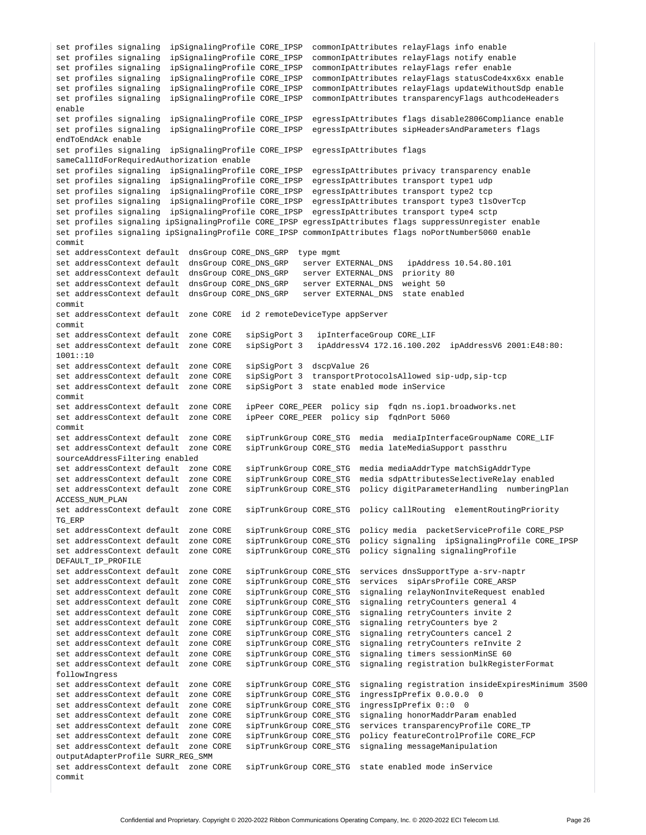```
set profiles signaling ipSignalingProfile CORE_IPSP commonIpAttributes relayFlags info enable
set profiles signaling ipSignalingProfile CORE_IPSP commonIpAttributes relayFlags notify enable
set profiles signaling ipSignalingProfile CORE_IPSP commonIpAttributes relayFlags refer enable
set profiles signaling ipSignalingProfile CORE_IPSP commonIpAttributes relayFlags statusCode4xx6xx enable
set profiles signaling ipSignalingProfile CORE_IPSP commonIpAttributes relayFlags updateWithoutSdp enable
set profiles signaling ipSignalingProfile CORE_IPSP commonIpAttributes transparencyFlags authcodeHeaders 
enable
set profiles signaling ipSignalingProfile CORE_IPSP egressIpAttributes flags disable2806Compliance enable
set profiles signaling ipSignalingProfile CORE_IPSP egressIpAttributes sipHeadersAndParameters flags 
endToEndAck enable
set profiles signaling ipSignalingProfile CORE_IPSP egressIpAttributes flags 
sameCallIdForRequiredAuthorization enable
set profiles signaling ipSignalingProfile CORE_IPSP egressIpAttributes privacy transparency enable
set profiles signaling ipSignalingProfile CORE_IPSP egressIpAttributes transport type1 udp
set profiles signaling ipSignalingProfile CORE_IPSP egressIpAttributes transport type2 tcp
set profiles signaling ipSignalingProfile CORE_IPSP egressIpAttributes transport type3 tlsOverTcp
set profiles signaling ipSignalingProfile CORE_IPSP egressIpAttributes transport type4 sctp
set profiles signaling ipSignalingProfile CORE_IPSP egressIpAttributes flags suppressUnregister enable
set profiles signaling ipSignalingProfile CORE_IPSP commonIpAttributes flags noPortNumber5060 enable
commit
set addressContext default dnsGroup CORE_DNS_GRP type mgmt
set addressContext default dnsGroup CORE_DNS_GRP server EXTERNAL_DNS ipAddress 10.54.80.101 
set addressContext default dnsGroup CORE_DNS_GRP server EXTERNAL_DNS priority 80
set addressContext default dnsGroup CORE_DNS_GRP server EXTERNAL_DNS weight 50
set addressContext default dnsGroup CORE_DNS_GRP server EXTERNAL_DNS state enabled
commit
set addressContext default zone CORE id 2 remoteDeviceType appServer
commit
set addressContext default zone CORE sipSigPort 3 ipInterfaceGroup CORE_LIF 
set addressContext default zone CORE sipSigPort 3 ipAddressV4 172.16.100.202 ipAddressV6 2001:E48:80:
1001::10
set addressContext default zone CORE sipSigPort 3 dscpValue 26
set addressContext default zone CORE sipSigPort 3 transportProtocolsAllowed sip-udp,sip-tcp
set addressContext default zone CORE sipSigPort 3 state enabled mode inService
commit
set addressContext default zone CORE ipPeer CORE_PEER policy sip fqdn ns.iop1.broadworks.net 
set addressContext default zone CORE ipPeer CORE_PEER policy sip fqdnPort 5060 
commit
set addressContext default zone CORE sipTrunkGroup CORE_STG media mediaIpInterfaceGroupName CORE_LIF 
set addressContext default zone CORE sipTrunkGroup CORE_STG media lateMediaSupport passthru 
sourceAddressFiltering enabled
set addressContext default zone CORE sipTrunkGroup CORE_STG media mediaAddrType matchSigAddrType
set addressContext default zone CORE sipTrunkGroup CORE_STG media sdpAttributesSelectiveRelay enabled
set addressContext default zone CORE sipTrunkGroup CORE_STG policy digitParameterHandling numberingPlan 
ACCESS_NUM_PLAN 
set addressContext default zone CORE sipTrunkGroup CORE_STG policy callRouting elementRoutingPriority 
TG_ERP 
set addressContext default zone CORE sipTrunkGroup CORE_STG policy media packetServiceProfile CORE_PSP 
                                       sipTrunkGroup CORE_STG policy signaling ipSignalingProfile CORE_IPSP
set addressContext default zone CORE sipTrunkGroup CORE_STG policy signaling signalingProfile 
DEFAULT_IP_PROFILE
set addressContext default zone CORE sipTrunkGroup CORE_STG services dnsSupportType a-srv-naptr
set addressContext default zone CORE sipTrunkGroup CORE_STG services sipArsProfile CORE_ARSP 
set addressContext default zone CORE sipTrunkGroup CORE_STG signaling relayNonInviteRequest enabled
set addressContext default zone CORE sipTrunkGroup CORE_STG signaling retryCounters general 4
set addressContext default zone CORE sipTrunkGroup CORE_STG signaling retryCounters invite 2
set addressContext default zone CORE sipTrunkGroup CORE_STG signaling retryCounters bye 2<br>set addressContext default zone CORE sipTrunkGroup CORE_STG signaling retryCounters cance
                                      sipTrunkGroup CORE_STG signaling retryCounters cancel 2
set addressContext default zone CORE sipTrunkGroup CORE_STG signaling retryCounters reInvite 2
set addressContext default zone CORE sipTrunkGroup CORE_STG signaling timers sessionMinSE 60
set addressContext default zone CORE sipTrunkGroup CORE_STG signaling registration bulkRegisterFormat 
followIngress
set addressContext default zone CORE sipTrunkGroup CORE_STG signaling registration insideExpiresMinimum 3500
set addressContext default zone CORE sipTrunkGroup CORE_STG ingressIpPrefix 0.0.0.0 0 
set addressContext default zone CORE sipTrunkGroup CORE_STG ingressIpPrefix 0::0 0
set addressContext default zone CORE sipTrunkGroup CORE_STG signaling honorMaddrParam enabled
set addressContext default zone CORE sipTrunkGroup CORE_STG services transparencyProfile CORE_TP
set addressContext default zone CORE sipTrunkGroup CORE_STG policy featureControlProfile CORE_FCP
set addressContext default zone CORE sipTrunkGroup CORE_STG signaling messageManipulation 
outputAdapterProfile SURR_REG_SMM 
set addressContext default zone CORE sipTrunkGroup CORE_STG state enabled mode inService
commit
```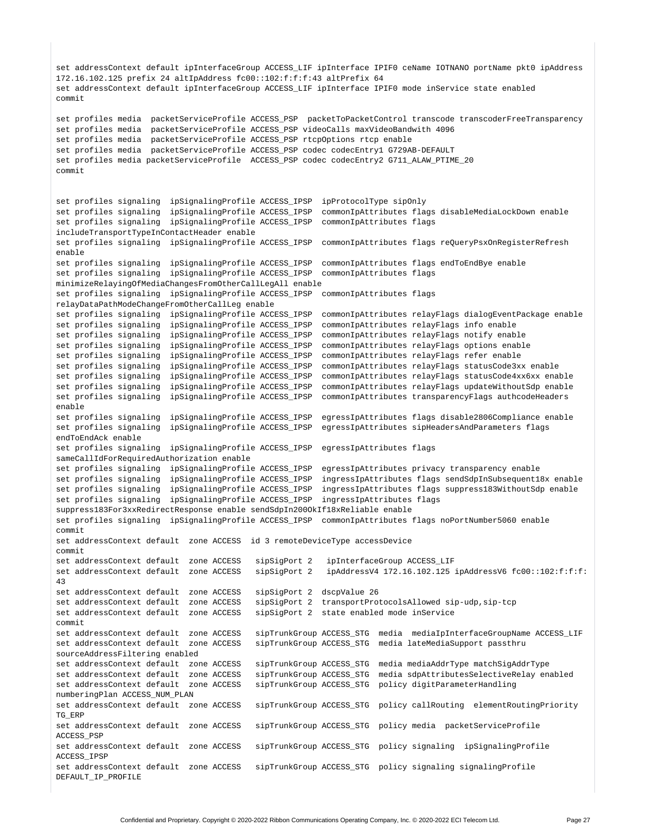```
set addressContext default ipInterfaceGroup ACCESS_LIF ipInterface IPIF0 ceName IOTNANO portName pkt0 ipAddress 
172.16.102.125 prefix 24 altIpAddress fc00::102:f:f:f:43 altPrefix 64
set addressContext default ipInterfaceGroup ACCESS_LIF ipInterface IPIF0 mode inService state enabled
commit
set profiles media packetServiceProfile ACCESS_PSP packetToPacketControl transcode transcoderFreeTransparency
set profiles media packetServiceProfile ACCESS_PSP videoCalls maxVideoBandwith 4096
set profiles media packetServiceProfile ACCESS_PSP rtcpOptions rtcp enable
set profiles media packetServiceProfile ACCESS_PSP codec codecEntry1 G729AB-DEFAULT
set profiles media packetServiceProfile ACCESS_PSP codec codecEntry2 G711_ALAW_PTIME_20
commit
set profiles signaling ipSignalingProfile ACCESS_IPSP ipProtocolType sipOnly
set profiles signaling ipSignalingProfile ACCESS_IPSP commonIpAttributes flags disableMediaLockDown enable
set profiles signaling ipSignalingProfile ACCESS_IPSP commonIpAttributes flags 
includeTransportTypeInContactHeader enable
set profiles signaling ipSignalingProfile ACCESS_IPSP commonIpAttributes flags reQueryPsxOnRegisterRefresh 
enable
set profiles signaling ipSignalingProfile ACCESS_IPSP commonIpAttributes flags endToEndBye enable
set profiles signaling ipSignalingProfile ACCESS_IPSP commonIpAttributes flags
minimizeRelayingOfMediaChangesFromOtherCallLegAll enable
set profiles signaling ipSignalingProfile ACCESS_IPSP commonIpAttributes flags
relayDataPathModeChangeFromOtherCallLeg enable
set profiles signaling ipSignalingProfile ACCESS_IPSP commonIpAttributes relayFlags dialogEventPackage enable
set profiles signaling ipSignalingProfile ACCESS_IPSP commonIpAttributes relayFlags info enable
set profiles signaling ipSignalingProfile ACCESS_IPSP commonIpAttributes relayFlags notify enable
set profiles signaling ipSignalingProfile ACCESS_IPSP commonIpAttributes relayFlags options enable
set profiles signaling ipSignalingProfile ACCESS_IPSP commonIpAttributes relayFlags refer enable
set profiles signaling ipSignalingProfile ACCESS_IPSP commonIpAttributes relayFlags statusCode3xx enable
set profiles signaling ipSignalingProfile ACCESS_IPSP commonIpAttributes relayFlags statusCode4xx6xx enable
set profiles signaling ipSignalingProfile ACCESS_IPSP commonIpAttributes relayFlags updateWithoutSdp enable
set profiles signaling ipSignalingProfile ACCESS_IPSP commonIpAttributes transparencyFlags authcodeHeaders
enable
set profiles signaling ipSignalingProfile ACCESS_IPSP egressIpAttributes flags disable2806Compliance enable
set profiles signaling ipSignalingProfile ACCESS_IPSP egressIpAttributes sipHeadersAndParameters flags 
endToEndAck enable
set profiles signaling ipSignalingProfile ACCESS_IPSP egressIpAttributes flags 
sameCallIdForRequiredAuthorization enable
set profiles signaling ipSignalingProfile ACCESS_IPSP egressIpAttributes privacy transparency enable
set profiles signaling ipSignalingProfile ACCESS_IPSP ingressIpAttributes flags sendSdpInSubsequent18x enable
set profiles signaling ipSignalingProfile ACCESS_IPSP ingressIpAttributes flags suppress183WithoutSdp enable
set profiles signaling ipSignalingProfile ACCESS_IPSP ingressIpAttributes flags 
suppress183For3xxRedirectResponse enable sendSdpIn200OkIf18xReliable enable
set profiles signaling ipSignalingProfile ACCESS_IPSP commonIpAttributes flags noPortNumber5060 enable
commit
set addressContext default zone ACCESS id 3 remoteDeviceType accessDevice
commit<br>set addressContext default zone ACCESS
                                         sipSigPort 2 ipInterfaceGroup ACCESS_LIF
set addressContext default zone ACCESS sipSigPort 2 ipAddressV4 172.16.102.125 ipAddressV6 fc00::102:f:f:f:
43
set addressContext default zone ACCESS sipSigPort 2 dscpValue 26
set addressContext default zone ACCESS sipSigPort 2 transportProtocolsAllowed sip-udp,sip-tcp
set addressContext default zone ACCESS sipSigPort 2 state enabled mode inService
commit
set addressContext default zone ACCESS sipTrunkGroup ACCESS_STG media mediaIpInterfaceGroupName ACCESS_LIF 
set addressContext default zone ACCESS sipTrunkGroup ACCESS_STG media lateMediaSupport passthru 
sourceAddressFiltering enabled
set addressContext default zone ACCESS sipTrunkGroup ACCESS_STG media mediaAddrType matchSigAddrType
                                         sipTrunkGroup ACCESS_STG media sdpAttributesSelectiveRelay enabled
set addressContext default zone ACCESS sipTrunkGroup ACCESS_STG policy digitParameterHandling 
numberingPlan ACCESS_NUM_PLAN 
set addressContext default zone ACCESS sipTrunkGroup ACCESS_STG policy callRouting elementRoutingPriority 
TG_ERP 
set addressContext default zone ACCESS sipTrunkGroup ACCESS_STG policy media packetServiceProfile 
ACCESS_PSP 
set addressContext default zone ACCESS sipTrunkGroup ACCESS_STG policy signaling ipSignalingProfile 
ACCESS_IPSP 
set addressContext default zone ACCESS sipTrunkGroup ACCESS_STG policy signaling signalingProfile 
DEFAULT_IP_PROFILE
```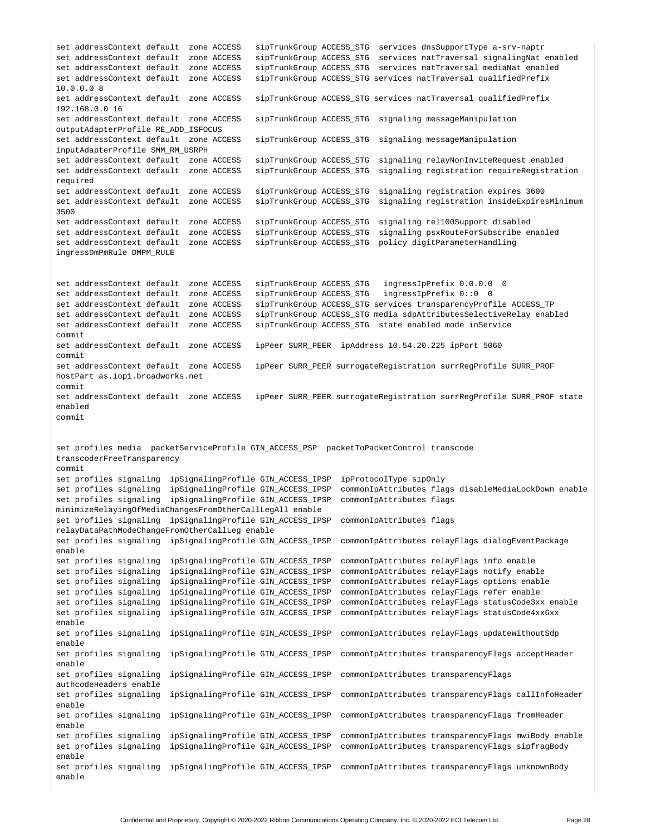set addressContext default zone ACCESS sipTrunkGroup ACCESS\_STG services dnsSupportType a-srv-naptr set addressContext default zone ACCESS sipTrunkGroup ACCESS\_STG services natTraversal signalingNat enabled set addressContext default zone ACCESS sipTrunkGroup ACCESS\_STG services natTraversal mediaNat enabled set addressContext default zone ACCESS sipTrunkGroup ACCESS\_STG services natTraversal qualifiedPrefix 10.0.0.0 8 set addressContext default zone ACCESS sipTrunkGroup ACCESS\_STG services natTraversal qualifiedPrefix 192.168.0.0 16 set addressContext default zone ACCESS sipTrunkGroup ACCESS\_STG signaling messageManipulation outputAdapterProfile RE\_ADD\_ISFOCUS set addressContext default zone ACCESS sipTrunkGroup ACCESS\_STG signaling messageManipulation inputAdapterProfile SMM\_RM\_USRPH set addressContext default zone ACCESS sipTrunkGroup ACCESS\_STG signaling relayNonInviteRequest enabled set addressContext default zone ACCESS sipTrunkGroup ACCESS\_STG signaling registration requireRegistration required set addressContext default zone ACCESS sipTrunkGroup ACCESS\_STG signaling registration expires 3600 set addressContext default zone ACCESS sipTrunkGroup ACCESS\_STG signaling registration insideExpiresMinimum 3500 set addressContext default zone ACCESS sipTrunkGroup ACCESS\_STG signaling rel100Support disabled set addressContext default zone ACCESS sipTrunkGroup ACCESS\_STG signaling psxRouteForSubscribe enabled set addressContext default zone ACCESS sipTrunkGroup ACCESS\_STG policy digitParameterHandling ingressDmPmRule DMPM\_RULE set addressContext default zone ACCESS sipTrunkGroup ACCESS\_STG ingressIpPrefix 0.0.0.0 0 set addressContext default zone ACCESS sipTrunkGroup ACCESS\_STG ingressIpPrefix 0::0 0 set addressContext default zone ACCESS sipTrunkGroup ACCESS\_STG services transparencyProfile ACCESS\_TP set addressContext default zone ACCESS sipTrunkGroup ACCESS\_STG media sdpAttributesSelectiveRelay enabled set addressContext default zone ACCESS sipTrunkGroup ACCESS\_STG state enabled mode inService commit set addressContext default zone ACCESS ipPeer SURR\_PEER ipAddress 10.54.20.225 ipPort 5060 commit set addressContext default zone ACCESS ipPeer SURR\_PEER surrogateRegistration surrRegProfile SURR\_PROF hostPart as.iop1.broadworks.net commit set addressContext default zone ACCESS ipPeer SURR\_PEER surrogateRegistration surrRegProfile SURR\_PROF state enabled commit set profiles media packetServiceProfile GIN\_ACCESS\_PSP packetToPacketControl transcode transcoderFreeTransparency commit set profiles signaling ipSignalingProfile GIN\_ACCESS\_IPSP ipProtocolType sipOnly set profiles signaling ipSignalingProfile GIN\_ACCESS\_IPSP commonIpAttributes flags disableMediaLockDown enable set profiles signaling ipSignalingProfile GIN\_ACCESS\_IPSP commonIpAttributes flags minimizeRelayingOfMediaChangesFromOtherCallLegAll enable set profiles signaling ipSignalingProfile GIN\_ACCESS\_IPSP commonIpAttributes flags relayDataPathModeChangeFromOtherCallLeg enable set profiles signaling ipSignalingProfile GIN\_ACCESS\_IPSP commonIpAttributes relayFlags dialogEventPackage enable set profiles signaling ipSignalingProfile GIN\_ACCESS\_IPSP commonIpAttributes relayFlags info enable set profiles signaling ipSignalingProfile GIN\_ACCESS\_IPSP commonIpAttributes relayFlags notify enable set profiles signaling ipSignalingProfile GIN\_ACCESS\_IPSP commonIpAttributes relayFlags options enable set profiles signaling ipSignalingProfile GIN\_ACCESS\_IPSP commonIpAttributes relayFlags refer enable set profiles signaling ipSignalingProfile GIN\_ACCESS\_IPSP commonIpAttributes relayFlags statusCode3xx enable set profiles signaling ipSignalingProfile GIN\_ACCESS\_IPSP commonIpAttributes relayFlags statusCode4xx6xx enable set profiles signaling ipSignalingProfile GIN\_ACCESS\_IPSP commonIpAttributes relayFlags updateWithoutSdp enable set profiles signaling ipSignalingProfile GIN\_ACCESS\_IPSP commonIpAttributes transparencyFlags acceptHeader enable set profiles signaling ipSignalingProfile GIN\_ACCESS\_IPSP commonIpAttributes transparencyFlags authcodeHeaders enable set profiles signaling ipSignalingProfile GIN\_ACCESS\_IPSP commonIpAttributes transparencyFlags callInfoHeader enable set profiles signaling ipSignalingProfile GIN\_ACCESS\_IPSP commonIpAttributes transparencyFlags fromHeader enable set profiles signaling ipSignalingProfile GIN\_ACCESS\_IPSP commonIpAttributes transparencyFlags mwiBody enable set profiles signaling ipSignalingProfile GIN\_ACCESS\_IPSP commonIpAttributes transparencyFlags sipfragBody enable set profiles signaling ipSignalingProfile GIN\_ACCESS\_IPSP commonIpAttributes transparencyFlags unknownBody enable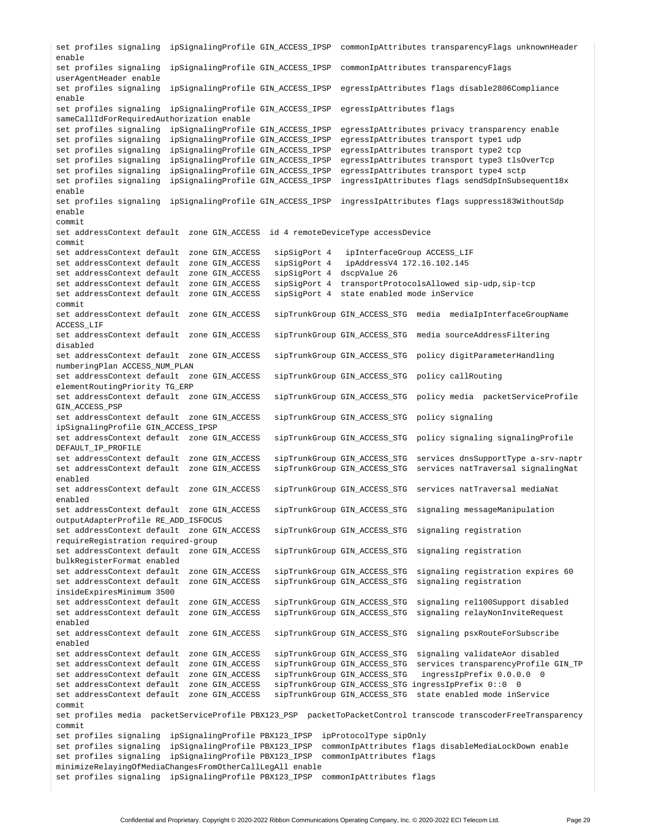set profiles signaling ipSignalingProfile GIN\_ACCESS\_IPSP commonIpAttributes transparencyFlags unknownHeader enable set profiles signaling ipSignalingProfile GIN\_ACCESS\_IPSP commonIpAttributes transparencyFlags userAgentHeader enable set profiles signaling ipSignalingProfile GIN\_ACCESS\_IPSP egressIpAttributes flags disable2806Compliance enable set profiles signaling ipSignalingProfile GIN\_ACCESS\_IPSP egressIpAttributes flags sameCallIdForRequiredAuthorization enable set profiles signaling ipSignalingProfile GIN\_ACCESS\_IPSP egressIpAttributes privacy transparency enable set profiles signaling ipSignalingProfile GIN\_ACCESS\_IPSP egressIpAttributes transport type1 udp set profiles signaling ipSignalingProfile GIN\_ACCESS\_IPSP egressIpAttributes transport type2 tcp set profiles signaling ipSignalingProfile GIN\_ACCESS\_IPSP egressIpAttributes transport type3 tlsOverTcp set profiles signaling ipSignalingProfile GIN\_ACCESS\_IPSP egressIpAttributes transport type4 sctp set profiles signaling ipSignalingProfile GIN\_ACCESS\_IPSP ingressIpAttributes flags sendSdpInSubsequent18x enable set profiles signaling ipSignalingProfile GIN\_ACCESS\_IPSP ingressIpAttributes flags suppress183WithoutSdp enable commit set addressContext default zone GIN\_ACCESS id 4 remoteDeviceType accessDevice commit set addressContext default zone GIN\_ACCESS sipSigPort 4 ipInterfaceGroup ACCESS\_LIF set addressContext default zone GIN\_ACCESS sipSigPort 4 ipAddressV4 172.16.102.145<br>set addressContext default zone GIN\_ACCESS sipSigPort 4 dscpValue 26 set addressContext default zone GIN\_ACCESS set addressContext default zone GIN\_ACCESS sipSigPort 4 transportProtocolsAllowed sip-udp,sip-tcp set addressContext default zone GIN\_ACCESS sipSigPort 4 state enabled mode inService commit set addressContext default zone GIN\_ACCESS sipTrunkGroup GIN\_ACCESS\_STG media mediaIpInterfaceGroupName ACCESS\_LIF set addressContext default zone GIN\_ACCESS sipTrunkGroup GIN\_ACCESS\_STG media sourceAddressFiltering disabled set addressContext default zone GIN\_ACCESS sipTrunkGroup GIN\_ACCESS\_STG policy digitParameterHandling numberingPlan ACCESS\_NUM\_PLAN set addressContext default zone GIN\_ACCESS sipTrunkGroup GIN\_ACCESS\_STG policy callRouting elementRoutingPriority TG\_ERP set addressContext default zone GIN\_ACCESS sipTrunkGroup GIN\_ACCESS\_STG policy media packetServiceProfile GIN\_ACCESS\_PSP set addressContext default zone GIN\_ACCESS sipTrunkGroup GIN\_ACCESS\_STG policy signaling ipSignalingProfile GIN\_ACCESS\_IPSP set addressContext default zone GIN\_ACCESS sipTrunkGroup GIN\_ACCESS\_STG policy signaling signalingProfile DEFAULT\_IP\_PROFILE set addressContext default zone GIN\_ACCESS sipTrunkGroup GIN\_ACCESS\_STG services dnsSupportType a-srv-naptr set addressContext default zone GIN\_ACCESS sipTrunkGroup GIN\_ACCESS\_STG services natTraversal signalingNat enabled set addressContext default zone GIN\_ACCESS sipTrunkGroup GIN\_ACCESS\_STG services natTraversal mediaNat enabled set addressContext default zone GIN\_ACCESS sipTrunkGroup GIN\_ACCESS\_STG signaling messageManipulation outputAdapterProfile RE\_ADD\_ISFOCUS set addressContext default zone GIN\_ACCESS sipTrunkGroup GIN\_ACCESS\_STG signaling registration requireRegistration required-group set addressContext default zone GIN\_ACCESS sipTrunkGroup GIN\_ACCESS\_STG signaling registration bulkRegisterFormat enabled set addressContext default zone GIN\_ACCESS sipTrunkGroup GIN\_ACCESS\_STG signaling registration expires 60 set addressContext default zone GIN\_ACCESS sipTrunkGroup GIN\_ACCESS\_STG signaling registration insideExpiresMinimum 3500 set addressContext default zone GIN\_ACCESS sipTrunkGroup GIN\_ACCESS\_STG signaling rel100Support disabled set addressContext default zone GIN\_ACCESS sipTrunkGroup GIN\_ACCESS\_STG signaling relayNonInviteRequest enabled set addressContext default zone GIN\_ACCESS sipTrunkGroup GIN\_ACCESS\_STG signaling psxRouteForSubscribe enabled set addressContext default zone GIN\_ACCESS sipTrunkGroup GIN\_ACCESS\_STG signaling validateAor disabled set addressContext default zone GIN\_ACCESS sipTrunkGroup GIN\_ACCESS\_STG services transparencyProfile GIN\_TP set addressContext default zone GIN\_ACCESS sipTrunkGroup GIN\_ACCESS\_STG ingressIpPrefix 0.0.0.0 0 set addressContext default zone GIN\_ACCESS sipTrunkGroup GIN\_ACCESS\_STG ingressIpPrefix 0::0 0 set addressContext default zone GIN\_ACCESS sipTrunkGroup GIN\_ACCESS\_STG state enabled mode inService commit set profiles media packetServiceProfile PBX123\_PSP packetToPacketControl transcode transcoderFreeTransparency commit set profiles signaling ipSignalingProfile PBX123\_IPSP ipProtocolType sipOnly set profiles signaling ipSignalingProfile PBX123\_IPSP commonIpAttributes flags disableMediaLockDown enable set profiles signaling ipSignalingProfile PBX123\_IPSP commonIpAttributes flags minimizeRelayingOfMediaChangesFromOtherCallLegAll enable set profiles signaling ipSignalingProfile PBX123\_IPSP commonIpAttributes flags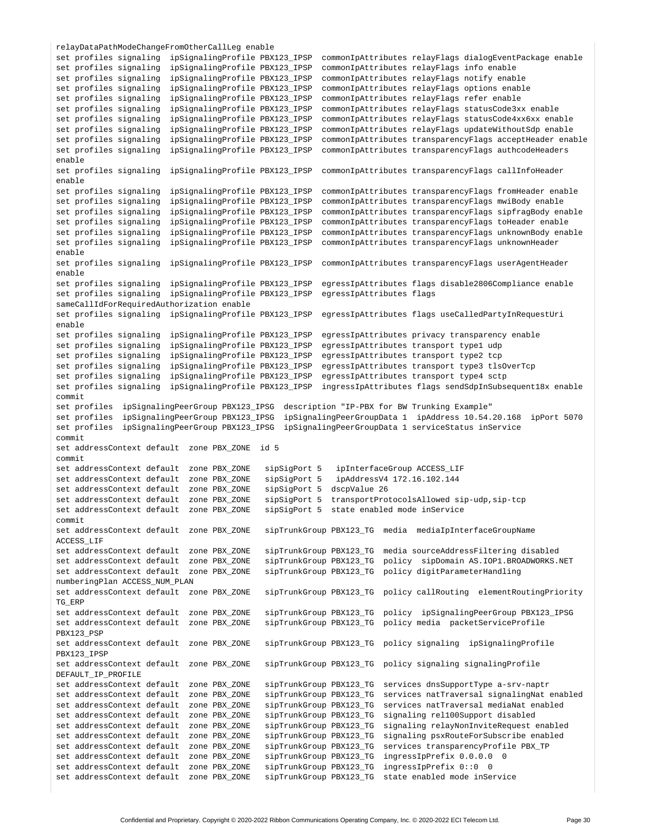relayDataPathModeChangeFromOtherCallLeg enable set profiles signaling ipSignalingProfile PBX123\_IPSP commonIpAttributes relayFlags dialogEventPackage enable set profiles signaling ipSignalingProfile PBX123\_IPSP commonIpAttributes relayFlags info enable set profiles signaling ipSignalingProfile PBX123\_IPSP commonIpAttributes relayFlags notify enable set profiles signaling ipSignalingProfile PBX123\_IPSP commonIpAttributes relayFlags options enable set profiles signaling ipSignalingProfile PBX123\_IPSP commonIpAttributes relayFlags refer enable set profiles signaling ipSignalingProfile PBX123\_IPSP commonIpAttributes relayFlags statusCode3xx enable set profiles signaling ipSignalingProfile PBX123\_IPSP commonIpAttributes relayFlags statusCode4xx6xx enable set profiles signaling ipSignalingProfile PBX123\_IPSP commonIpAttributes relayFlags updateWithoutSdp enable set profiles signaling ipSignalingProfile PBX123\_IPSP commonIpAttributes transparencyFlags acceptHeader enable set profiles signaling ipSignalingProfile PBX123\_IPSP commonIpAttributes transparencyFlags authcodeHeaders enable set profiles signaling ipSignalingProfile PBX123\_IPSP commonIpAttributes transparencyFlags callInfoHeader enable set profiles signaling ipSignalingProfile PBX123\_IPSP commonIpAttributes transparencyFlags fromHeader enable set profiles signaling ipSignalingProfile PBX123\_IPSP commonIpAttributes transparencyFlags mwiBody enable set profiles signaling ipSignalingProfile PBX123\_IPSP commonIpAttributes transparencyFlags sipfragBody enable set profiles signaling ipSignalingProfile PBX123\_IPSP commonIpAttributes transparencyFlags toHeader enable set profiles signaling ipSignalingProfile PBX123\_IPSP commonIpAttributes transparencyFlags unknownBody enable set profiles signaling ipSignalingProfile PBX123\_IPSP commonIpAttributes transparencyFlags unknownHeader enable set profiles signaling ipSignalingProfile PBX123\_IPSP commonIpAttributes transparencyFlags userAgentHeader enable set profiles signaling ipSignalingProfile PBX123\_IPSP egressIpAttributes flags disable2806Compliance enable set profiles signaling ipSignalingProfile PBX123\_IPSP egressIpAttributes flags sameCallIdForRequiredAuthorization enable set profiles signaling ipSignalingProfile PBX123\_IPSP egressIpAttributes flags useCalledPartyInRequestUri enable set profiles signaling ipSignalingProfile PBX123\_IPSP egressIpAttributes privacy transparency enable set profiles signaling ipSignalingProfile PBX123\_IPSP egressIpAttributes transport type1 udp set profiles signaling ipSignalingProfile PBX123\_IPSP egressIpAttributes transport type2 tcp set profiles signaling ipSignalingProfile PBX123\_IPSP egressIpAttributes transport type3 tlsOverTcp set profiles signaling ipSignalingProfile PBX123\_IPSP egressIpAttributes transport type4 sctp set profiles signaling ipSignalingProfile PBX123\_IPSP ingressIpAttributes flags sendSdpInSubsequent18x enable commit set profiles ipSignalingPeerGroup PBX123\_IPSG description "IP-PBX for BW Trunking Example" set profiles ipSignalingPeerGroup PBX123\_IPSG ipSignalingPeerGroupData 1 ipAddress 10.54.20.168 ipPort 5070 set profiles ipSignalingPeerGroup PBX123\_IPSG ipSignalingPeerGroupData 1 serviceStatus inService commit set addressContext default zone PBX\_ZONE id 5 commit set addressContext default zone PBX\_ZONE sipSigPort 5 ipInterfaceGroup ACCESS\_LIF set addressContext default zone PBX\_ZONE sipSigPort 5 ipAddressV4 172.16.102.144 set addressContext default zone PBX\_ZONE sipSigPort 5 dscpValue 26<br>set addressContext default zone PBX\_ZONE sipSigPort 5 transportProt sipSigPort 5 transportProtocolsAllowed sip-udp,sip-tcp set addressContext default zone PBX\_ZONE sipSigPort 5 state enabled mode inService commit set addressContext default zone PBX\_ZONE sipTrunkGroup PBX123\_TG media mediaIpInterfaceGroupName ACCESS\_LIF set addressContext default zone PBX\_ZONE sipTrunkGroup PBX123\_TG media sourceAddressFiltering disabled set addressContext default zone PBX\_ZONE sipTrunkGroup PBX123\_TG policy sipDomain AS.IOP1.BROADWORKS.NET set addressContext default zone PBX\_ZONE sipTrunkGroup PBX123\_TG policy digitParameterHandling numberingPlan ACCESS\_NUM\_PLAN set addressContext default zone PBX\_ZONE sipTrunkGroup PBX123\_TG policy callRouting elementRoutingPriority TG\_ERP set addressContext default zone PBX\_ZONE sipTrunkGroup PBX123\_TG policy ipSignalingPeerGroup PBX123\_IPSG set addressContext default zone PBX\_ZONE sipTrunkGroup PBX123\_TG policy media packetServiceProfile PBX123\_PSP set addressContext default zone PBX\_ZONE sipTrunkGroup PBX123\_TG policy signaling ipSignalingProfile PBX123\_IPSP set addressContext default zone PBX\_ZONE sipTrunkGroup PBX123\_TG policy signaling signalingProfile DEFAULT\_IP\_PROFILE set addressContext default zone PBX\_ZONE sipTrunkGroup PBX123\_TG services dnsSupportType a-srv-naptr set addressContext default zone PBX\_ZONE sipTrunkGroup PBX123\_TG services natTraversal signalingNat enabled set addressContext default zone PBX\_ZONE sipTrunkGroup PBX123\_TG services natTraversal mediaNat enabled set addressContext default zone PBX\_ZONE sipTrunkGroup PBX123\_TG signaling rel100Support disabled set addressContext default zone PBX\_ZONE sipTrunkGroup PBX123\_TG signaling relayNonInviteRequest enabled set addressContext default zone PBX\_ZONE sipTrunkGroup PBX123\_TG signaling psxRouteForSubscribe enabled set addressContext default zone PBX\_ZONE sipTrunkGroup PBX123\_TG services transparencyProfile PBX\_TP set addressContext default zone PBX\_ZONE sipTrunkGroup PBX123\_TG ingressIpPrefix 0.0.0.0 0<br>set addressContext default zone PBX\_ZONE sipTrunkGroup PBX123\_TG ingressIpPrefix 0::0 0 sipTrunkGroup PBX123\_TG ingressIpPrefix 0::0 0 set addressContext default zone PBX\_ZONE sipTrunkGroup PBX123\_TG state enabled mode inService